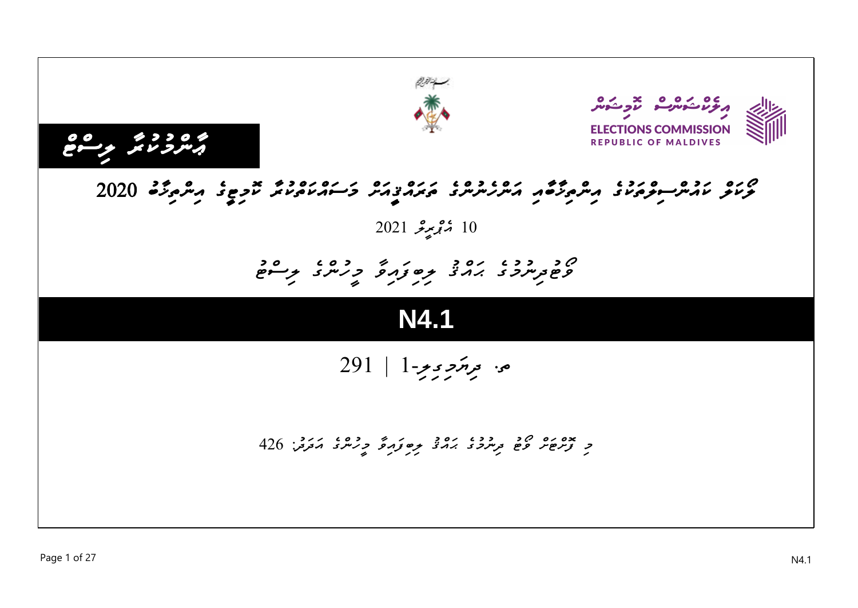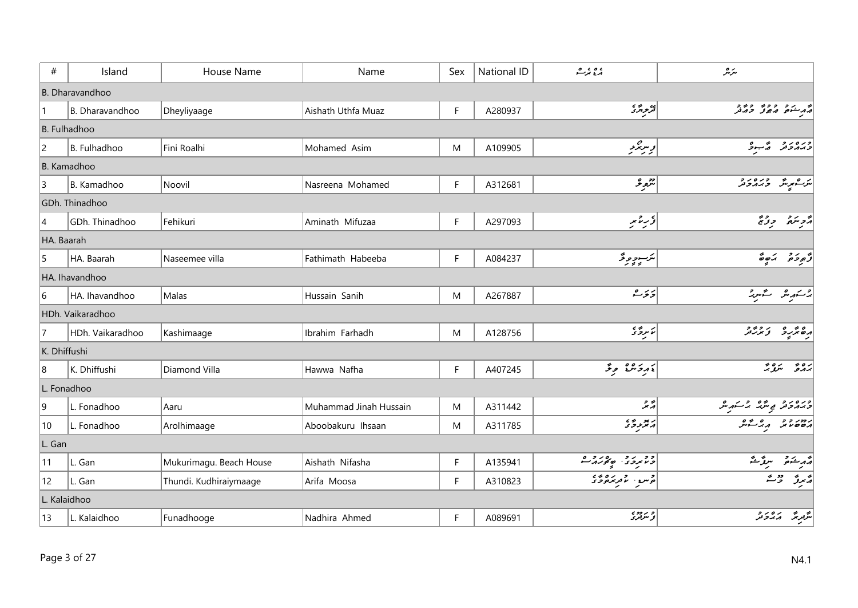| #              | Island           | House Name              | Name                   | Sex       | National ID | ، ه ، ره<br>پر ، سرگ               | ىئرىتر                                   |  |  |  |  |
|----------------|------------------|-------------------------|------------------------|-----------|-------------|------------------------------------|------------------------------------------|--|--|--|--|
|                | B. Dharavandhoo  |                         |                        |           |             |                                    |                                          |  |  |  |  |
|                | B. Dharavandhoo  | Dheyliyaage             | Aishath Uthfa Muaz     | F         | A280937     | ن پر پر پر<br>قرمور <sub>گ</sub> ر | و در دوه ووو<br>وگه شوی های وهانر        |  |  |  |  |
|                | B. Fulhadhoo     |                         |                        |           |             |                                    |                                          |  |  |  |  |
| $\overline{c}$ | B. Fulhadhoo     | Fini Roalhi             | Mohamed Asim           | M         | A109905     | وسرچر<br>ر                         | ورەرو ئەبدۇ                              |  |  |  |  |
|                | B. Kamadhoo      |                         |                        |           |             |                                    |                                          |  |  |  |  |
| 3              | B. Kamadhoo      | Noovil                  | Nasreena Mohamed       | F         | A312681     | يتر <sub>عر</sub> و                | ىر قىم بىر 2009-<br>سر قىمبىر قىمبەر قىر |  |  |  |  |
|                | GDh. Thinadhoo   |                         |                        |           |             |                                    |                                          |  |  |  |  |
| 4              | GDh. Thinadhoo   | Fehikuri                | Aminath Mifuzaa        | F         | A297093     | و سر ته سه<br>                     | ومحر المتمر والمحمج                      |  |  |  |  |
| HA. Baarah     |                  |                         |                        |           |             |                                    |                                          |  |  |  |  |
| 5              | HA. Baarah       | Naseemee villa          | Fathimath Habeeba      | F         | A084237     | ىئەسوچە بۇ                         | ژودو نه                                  |  |  |  |  |
|                | HA. Ihavandhoo   |                         |                        |           |             |                                    |                                          |  |  |  |  |
| $\vert 6$      | HA. Ihavandhoo   | Malas                   | Hussain Sanih          | ${\sf M}$ | A267887     | ئە ئەر <u>م</u>                    | يركبها مؤسرة                             |  |  |  |  |
|                | HDh. Vaikaradhoo |                         |                        |           |             |                                    |                                          |  |  |  |  |
| 7              | HDh. Vaikaradhoo | Kashimaage              | Ibrahim Farhadh        | ${\sf M}$ | A128756     | ر<br>مأمورد د                      | رەپرىر زېرىر                             |  |  |  |  |
| K. Dhiffushi   |                  |                         |                        |           |             |                                    |                                          |  |  |  |  |
| 8              | K. Dhiffushi     | Diamond Villa           | Hawwa Nafha            | F.        | A407245     | أبار كاشنا المحباني                | رە پەرە بەر<br>بەرى سۆپ                  |  |  |  |  |
|                | L. Fonadhoo      |                         |                        |           |             |                                    |                                          |  |  |  |  |
| 9              | L. Fonadhoo      | Aaru                    | Muhammad Jinah Hussain | M         | A311442     | پڑ پڑ                              | ورەرو يەش برىتور                         |  |  |  |  |
| $ 10\rangle$   | L. Fonadhoo      | Arolhimaage             | Aboobakuru Ihsaan      | M         | A311785     | پر پر پر پر<br>  پر پر پر پر پر    |                                          |  |  |  |  |
| L. Gan         |                  |                         |                        |           |             |                                    |                                          |  |  |  |  |
| 11             | L. Gan           | Mukurimagu. Beach House | Aishath Nifasha        | F         | A135941     | כי גבי פיציג פ                     | ە مەخكى سرگىگى<br>مەرخكى سرگىگى          |  |  |  |  |
| 12             | L. Gan           | Thundi. Kudhiraiymaage  | Arifa Moosa            | F         | A310823     | ه سوم مورنومون<br>مسوم سر          |                                          |  |  |  |  |
|                | L. Kalaidhoo     |                         |                        |           |             |                                    |                                          |  |  |  |  |
| 13             | L. Kalaidhoo     | Funadhooge              | Nadhira Ahmed          | F.        | A089691     | و بر دو ،<br>تو سربر <sub>ک</sub>  | شَّرِّسِرِ شَرِّ مِ سَرِّ وَ سَرِّ       |  |  |  |  |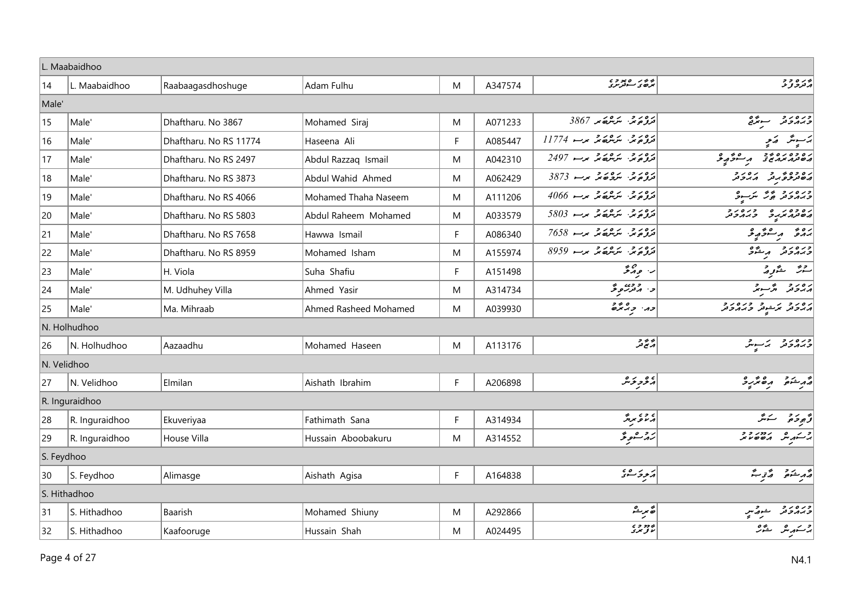|            | L. Maabaidhoo  |                        |                       |    |         |                                         |                                                       |
|------------|----------------|------------------------|-----------------------|----|---------|-----------------------------------------|-------------------------------------------------------|
| 14         | L. Maabaidhoo  | Raabaagasdhoshuge      | Adam Fulhu            | M  | A347574 | ۶ ۶ د ۲۰۰۷ و د<br>بر <i>ه ی</i> سوترمرد | پر ہ د د<br>پر ترو تر تر                              |
| Male'      |                |                        |                       |    |         |                                         |                                                       |
| 15         | Male'          | Dhaftharu. No 3867     | Mohamed Siraj         | M  | A071233 | تروم تر. سكره سر 3867                   | ورورو سورتم                                           |
| 16         | Male'          | Dhaftharu. No RS 11774 | Haseena Ali           | F. | A085447 | رور و سرگر مگر سر 11774                 | يەسىدىگە ئەس                                          |
| 17         | Male'          | Dhaftharu. No RS 2497  | Abdul Razzaq Ismail   | M  | A042310 | رەر ج. سەھەتمە سەسىر 2497               | גם כם גם מיב הגיית הריבה.<br>הסמה ממיב הגיית הריבה    |
| 18         | Male'          | Dhaftharu. No RS 3873  | Abdul Wahid Ahmed     | M  | A062429 | تروری. سره در پرسه 3873                 | رە دەپر دەر دەرد<br>مەھىر دەپرى مەردىر                |
| 19         | Male'          | Dhaftharu. No RS 4066  | Mohamed Thaha Naseem  | M  | A111206 | ترۇم تى. ئىر شۇم تىر يىسىم 4066         | ورەرو بۇ ئەسر                                         |
| 20         | Male'          | Dhaftharu. No RS 5803  | Abdul Raheem Mohamed  | M  | A033579 | تروم تم. سَرْسْھَ تَمْ سِرِ 5803        | גם כם גם כגם גב<br>גם <i>נגיד</i> ות כגורני           |
| 21         | Male'          | Dhaftharu. No RS 7658  | Hawwa Ismail          | F. | A086340 | تروم تر. سَرْسْھَ تَرْ سِيْسِيْ 7658    | بروء پر شرقهای                                        |
| 22         | Male'          | Dhaftharu. No RS 8959  | Mohamed Isham         | M  | A155974 | تروپر ترشق تر سه 8959                   | ورەر د دەر                                            |
| 23         | Male'          | H. Viola               | Suha Shafiu           | F. | A151498 | ر. عەدىجە                               | سەش سەرە                                              |
| 24         | Male'          | M. Udhuhey Villa       | Ahmed Yasir           | M  | A314734 | — د ده، د وگ                            | נ סיכון הרגיית.<br>המכות הרגיות                       |
| 25         | Male'          | Ma. Mihraab            | Ahmed Rasheed Mohamed | M  | A039930 | وړ٠ و پر پره                            | ره رو بر در در در در د<br>پروتر بر در وره رو          |
|            | N. Holhudhoo   |                        |                       |    |         |                                         |                                                       |
| 26         | N. Holhudhoo   | Aazaadhu               | Mohamed Haseen        | M  | A113176 | پر بر حر<br>در سی تعر                   | ورەرو كەسىر                                           |
|            | N. Velidhoo    |                        |                       |    |         |                                         |                                                       |
| 27         | N. Velidhoo    | Elmilan                | Aishath Ibrahim       | F. | A206898 | ە ۋېرىخە ئىر                            | مەشقى مەمگرى                                          |
|            | R. Inguraidhoo |                        |                       |    |         |                                         |                                                       |
| 28         | R. Inguraidhoo | Ekuveriyaa             | Fathimath Sana        | F  | A314934 | ، د ، په پژ                             | توجوجو سنتر                                           |
| 29         | R. Inguraidhoo | House Villa            | Hussain Aboobakuru    | M  | A314552 | رىر مەھ <sub>م</sub> ۇ                  | 77777727722                                           |
| S. Feydhoo |                |                        |                       |    |         |                                         |                                                       |
| 30         | S. Feydhoo     | Alimasge               | Aishath Agisa         | F. | A164838 | ە ئەرىخ سىرى                            | ۇرىشق ھۇرگ                                            |
|            | S. Hithadhoo   |                        |                       |    |         |                                         |                                                       |
| 31         | S. Hithadhoo   | Baarish                | Mohamed Shiuny        | M  | A292866 | ە<br>ھەبرىش                             | ور ور و سوره سر<br>وبر دو در سوره سر<br>برسوره سر شور |
| 32         | S. Hithadhoo   | Kaafooruge             | Hussain Shah          | M  | A024495 | یه دو د ،<br>ما تو مور                  |                                                       |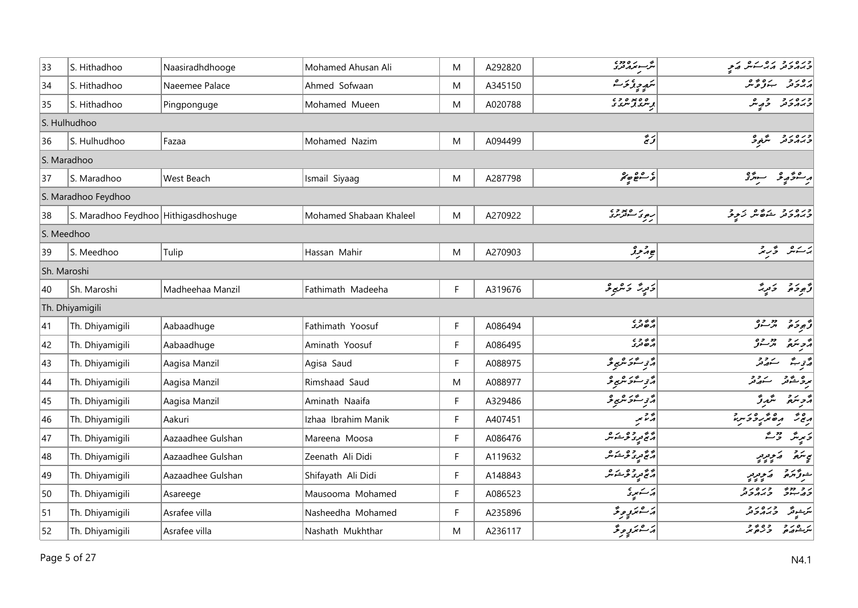| 33          | S. Hithadhoo                         | Naasiradhdhooge   | Mohamed Ahusan Ali      | M           | A292820 | مگر سوئبر مردم در د<br>مگر سوئبر مردم         | ورەرو رەر رە ئو                                                                                                                                                                                                                                                                                                                                                                                                                                                                     |
|-------------|--------------------------------------|-------------------|-------------------------|-------------|---------|-----------------------------------------------|-------------------------------------------------------------------------------------------------------------------------------------------------------------------------------------------------------------------------------------------------------------------------------------------------------------------------------------------------------------------------------------------------------------------------------------------------------------------------------------|
| 34          | S. Hithadhoo                         | Naeemee Palace    | Ahmed Sofwaan           | M           | A345150 | ىئە <sub>چ</sub> ېۋىخەت                       | رەرد بەدەرە                                                                                                                                                                                                                                                                                                                                                                                                                                                                         |
| 35          | S. Hithadhoo                         | Pingponguge       | Mohamed Mueen           | M           | A020788 | ر موسوم دی.<br>بر مربوع شری                   | ورەرو وړی                                                                                                                                                                                                                                                                                                                                                                                                                                                                           |
|             | S. Hulhudhoo                         |                   |                         |             |         |                                               |                                                                                                                                                                                                                                                                                                                                                                                                                                                                                     |
| 36          | S. Hulhudhoo                         | Fazaa             | Mohamed Nazim           | M           | A094499 | ترتج                                          | ورەر د شھرو                                                                                                                                                                                                                                                                                                                                                                                                                                                                         |
|             | S. Maradhoo                          |                   |                         |             |         |                                               |                                                                                                                                                                                                                                                                                                                                                                                                                                                                                     |
| 37          | S. Maradhoo                          | West Beach        | Ismail Siyaaq           | M           | A287798 | وكسفوكم                                       | وسنو ويو مسترقى                                                                                                                                                                                                                                                                                                                                                                                                                                                                     |
|             | S. Maradhoo Feydhoo                  |                   |                         |             |         |                                               |                                                                                                                                                                                                                                                                                                                                                                                                                                                                                     |
| 38          | S. Maradhoo Feydhoo Hithigasdhoshuge |                   | Mohamed Shabaan Khaleel | M           | A270922 | ر <sub>جو ت</sub> ی کے دور<br>رجو تی کسی کورن | ورەرو ئەھەر زىرو                                                                                                                                                                                                                                                                                                                                                                                                                                                                    |
| S. Meedhoo  |                                      |                   |                         |             |         |                                               |                                                                                                                                                                                                                                                                                                                                                                                                                                                                                     |
| 39          | S. Meedhoo                           | Tulip             | Hassan Mahir            | M           | A270903 | ومزمرز                                        | يەسەس ۋرىۋ                                                                                                                                                                                                                                                                                                                                                                                                                                                                          |
| Sh. Maroshi |                                      |                   |                         |             |         |                                               |                                                                                                                                                                                                                                                                                                                                                                                                                                                                                     |
| 40          | Sh. Maroshi                          | Madheehaa Manzil  | Fathimath Madeeha       | F           | A319676 | دَىرِرَّ دَىرْ پرو                            | و و ديگر                                                                                                                                                                                                                                                                                                                                                                                                                                                                            |
|             | Th. Dhiyamigili                      |                   |                         |             |         |                                               |                                                                                                                                                                                                                                                                                                                                                                                                                                                                                     |
| 41          | Th. Dhiyamigili                      | Aabaadhuge        | Fathimath Yoosuf        | F           | A086494 | ۶ پر د ء<br>تر ت                              | $\begin{bmatrix} 0 & 2 & 2 & 2 & 3 \\ 0 & 2 & 2 & 2 & 3 \\ 0 & 0 & 0 & 0 & 0 \\ 0 & 0 & 0 & 0 & 0 \\ 0 & 0 & 0 & 0 & 0 \\ 0 & 0 & 0 & 0 & 0 \\ 0 & 0 & 0 & 0 & 0 \\ 0 & 0 & 0 & 0 & 0 \\ 0 & 0 & 0 & 0 & 0 \\ 0 & 0 & 0 & 0 & 0 \\ 0 & 0 & 0 & 0 & 0 \\ 0 & 0 & 0 & 0 & 0 & 0 \\ 0 & 0 & 0 & 0 & 0 & 0 \\ 0 & 0 & 0 & 0 & $                                                                                                                                                         |
| 42          | Th. Dhiyamigili                      | Aabaadhuge        | Aminath Yoosuf          | F           | A086495 | ۶ پر د ء<br>تر ت                              | ړ په ده ده وه وه ده                                                                                                                                                                                                                                                                                                                                                                                                                                                                 |
| 43          | Th. Dhiyamigili                      | Aagisa Manzil     | Agisa Saud              | F           | A088975 | ۇ ئۆستە ئەشرىپو قە                            | ړي په مسرور                                                                                                                                                                                                                                                                                                                                                                                                                                                                         |
| 44          | Th. Dhiyamiqili                      | Aagisa Manzil     | Rimshaad Saud           | M           | A088977 | ۇ ئەسەئە ئىر ئە                               | ىردىشى سەرىر<br>مردىشىر سەرىر                                                                                                                                                                                                                                                                                                                                                                                                                                                       |
| 45          | Th. Dhiyamiqili                      | Aagisa Manzil     | Aminath Naaifa          | F           | A329486 | <br> مە <sub>ترىس</sub> ىمۇ مىرىمو قىل        | ۇ ئەسكى ئىگرۇ                                                                                                                                                                                                                                                                                                                                                                                                                                                                       |
| 46          | Th. Dhiyamigili                      | Aakuri            | Izhaa Ibrahim Manik     | F.          | A407451 | ومتمير                                        | $\begin{array}{c}\n\overline{\phantom{0}}\phantom{0}2\phantom{0}2\phantom{0}2\phantom{0}\phantom{0}2\phantom{0}\phantom{0}2\phantom{0}\phantom{0}2\phantom{0}\phantom{0}2\phantom{0}\phantom{0}2\phantom{0}\phantom{0}2\phantom{0}\phantom{0}2\phantom{0}\phantom{0}2\phantom{0}\phantom{0}2\phantom{0}\phantom{0}2\phantom{0}\phantom{0}2\phantom{0}\phantom{0}2\phantom{0}\phantom{0}2\phantom{0}\phantom{0}2\phantom{0}\phantom{0}2\phant$<br>ە ھەمەر 25 سرىر<br>مەھەمەر 25 سرىر |
| 47          | Th. Dhiyamigili                      | Aazaadhee Gulshan | Mareena Moosa           | $\mathsf F$ | A086476 | ۇ ئۆرگەشكە ئىگە                               | وحر مشر<br>ئەسمەتىگە<br>ئى                                                                                                                                                                                                                                                                                                                                                                                                                                                          |
| 48          | Th. Dhiyamigili                      | Aazaadhee Gulshan | Zeenath Ali Didi        | F           | A119632 | ۇ ئەر ئەھمىسى ئىس                             | ې پنځې که د پورې <sub>ږ</sub>                                                                                                                                                                                                                                                                                                                                                                                                                                                       |
| 49          | Th. Dhiyamiqili                      | Aazaadhee Gulshan | Shifayath Ali Didi      | F           | A148843 | ۇ ئۆير ئەھمىيە ئىگر                           |                                                                                                                                                                                                                                                                                                                                                                                                                                                                                     |
| 50          | Th. Dhiyamigili                      | Asareege          | Mausooma Mohamed        | F           | A086523 | ېر کے بىرى<br>ئ                               | ر و دوءِ<br>وەسبور<br>و ر ه ر و<br>تر پروتر                                                                                                                                                                                                                                                                                                                                                                                                                                         |
| 51          | Th. Dhiyamiqili                      | Asrafee villa     | Nasheedha Mohamed       | F           | A235896 | ىز مەئىر پەرىگە<br>م                          | س وره د و د و د<br>س په د بر د و تر                                                                                                                                                                                                                                                                                                                                                                                                                                                 |
| 52          | Th. Dhiyamigili                      | Asrafee villa     | Nashath Mukhthar        | M           | A236117 | ىز شەنئەر <sub>ئ</sub> ور                     | ر ده ر ده و د و<br>سرشه پر و زمر بر                                                                                                                                                                                                                                                                                                                                                                                                                                                 |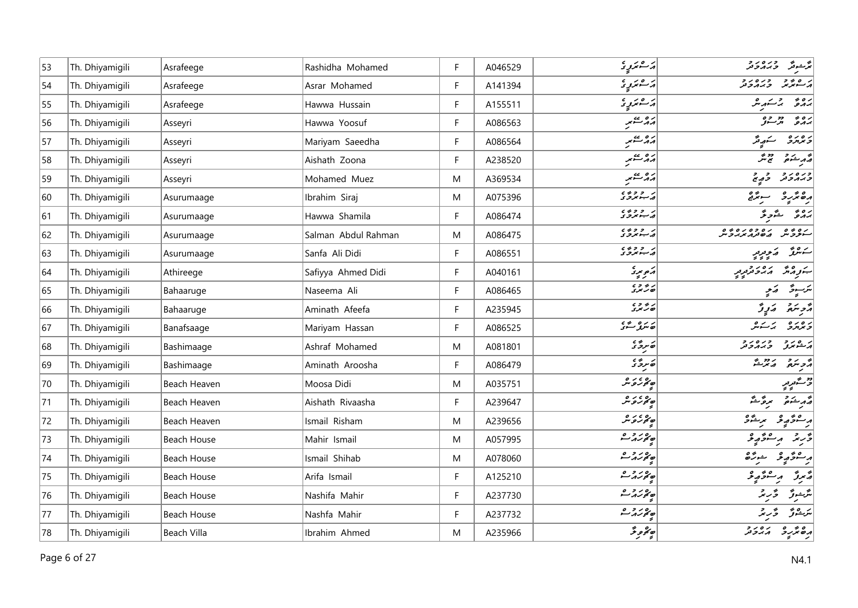|    |                 |                    |                     |           |         |                                                      | و ره ر و<br>تر <i>پر</i> وتر                  |
|----|-----------------|--------------------|---------------------|-----------|---------|------------------------------------------------------|-----------------------------------------------|
| 53 | Th. Dhiyamigili | Asrafeege          | Rashidha Mohamed    | F         | A046529 | لەسشىمرىي                                            | ئۇرىشەتۇر                                     |
| 54 | Th. Dhiyamiqili | Asrafeege          | Asrar Mohamed       | F         | A141394 | ىر شەنىزى <sub>ر</sub> ،                             | ىر 2 مۇيىر<br>و ر ه ر و<br><i>و پر پر</i> تر  |
| 55 | Th. Dhiyamiqili | Asrafeege          | Hawwa Hussain       | F         | A155511 | پر ھ پر پی                                           | برەنج<br>بر سەمەرىش                           |
| 56 | Th. Dhiyamigili | Asseyri            | Hawwa Yoosuf        | F         | A086563 | لهزه عيمر                                            | دد د ه<br>در سور<br>رە بە<br>برادى            |
| 57 | Th. Dhiyamigili | Asseyri            | Mariyam Saeedha     | F         | A086564 | لئەرىئىمىر                                           | ر ه ر ه<br><del>و</del> بربرو<br>سنهير قر     |
| 58 | Th. Dhiyamigili | Asseyri            | Aishath Zoona       | F         | A238520 | لرويمبر                                              | و در در در در در در در بر<br>مراجع در موسیق   |
| 59 | Th. Dhiyamigili | Asseyri            | Mohamed Muez        | ${\sf M}$ | A369534 | لئەرىئىمبر                                           | כנסנב בב<br>כמחכת בקיש                        |
| 60 | Th. Dhiyamigili | Asurumaage         | Ibrahim Siraj       | ${\sf M}$ | A075396 | ر و و » ،<br>پرسونور                                 | سەتىر<br>س<br>دە ترىر د                       |
| 61 | Th. Dhiyamigili | Asurumaage         | Hawwa Shamila       | F         | A086474 | ر و و » ،<br>پرسونور                                 | رەپ شەرقى                                     |
| 62 | Th. Dhiyamigili | Asurumaage         | Salman Abdul Rahman | M         | A086475 | ر په ده ده د<br>پرسه مرو د                           |                                               |
| 63 | Th. Dhiyamigili | Asurumaage         | Sanfa Ali Didi      | F         | A086551 | ر د د ده ،<br>پرسه مرو د                             | <br> سەشق مەمەمەر                             |
| 64 | Th. Dhiyamigili | Athireege          | Safiyya Ahmed Didi  | F         | A040161 | ړ<br>مرموسونه                                        | התנמת הכלכתת                                  |
| 65 | Th. Dhiyamigili | Bahaaruge          | Naseema Ali         | F         | A086465 | ر د د ،<br>ن ر بر د                                  | للرسوش الألمج                                 |
| 66 | Th. Dhiyamigili | Bahaaruge          | Aminath Afeefa      | F         | A235945 | ر پر و ،<br>ن <i>ن</i> تر د                          | أأولتم أأوقى                                  |
| 67 | Th. Dhiyamigili | Banafsaage         | Mariyam Hassan      | F         | A086525 | ە ئىرە بەي                                           | ر ه ر ه<br><del>ر</del> بر بر ژ               |
| 68 | Th. Dhiyamigili | Bashimaage         | Ashraf Mohamed      | M         | A081801 | ر په ،<br>خرچ                                        | بر ھەبىر <i>ج</i><br>و ر ه ر و<br>تر پر تر تر |
| 69 | Th. Dhiyamigili | Bashimaage         | Aminath Aroosha     | F         | A086479 | ئەبرىرى<br>                                          | پر دو به پی<br>أأترسمو                        |
| 70 | Th. Dhiyamigili | Beach Heaven       | Moosa Didi          | M         | A035751 | پەنزوتىر                                             | دو گورور<br>تر گورور                          |
| 71 | Th. Dhiyamigili | Beach Heaven       | Aishath Rivaasha    | F         | A239647 | $rac{1}{\sqrt{2\cdot\frac{1}{2}}}\frac{1}{\sqrt{2}}$ | و مرشو <del>ه</del><br>مرمشوه<br>ىرەڭ شە      |
| 72 | Th. Dhiyamigili | Beach Heaven       | Ismail Risham       | M         | A239656 | $rac{1}{\sqrt{2\cdot 2\cdot 1}}$                     | ر جۇرپى برخۇ                                  |
| 73 | Th. Dhiyamigili | <b>Beach House</b> | Mahir Ismail        | ${\sf M}$ | A057995 | ھەممەر <sup>2</sup>                                  | د سرچ<br>ر<br>ەرسىۋەيچ                        |
| 74 | Th. Dhiyamigili | <b>Beach House</b> | Ismail Shihab       | ${\sf M}$ | A078060 | ھەممەر 2 ھ                                           | ر شۇرۇ سىرگە                                  |
| 75 | Th. Dhiyamigili | <b>Beach House</b> | Arifa Ismail        | F         | A125210 | پە ئەر ئە                                            | ەرسىۋەپەيج<br>ەتىرۇ                           |
| 76 | Th. Dhiyamigili | <b>Beach House</b> | Nashifa Mahir       | F         | A237730 | پە ئەر ئە                                            | ىگرىشوڭر<br>م<br>د سرچه<br>مر                 |
| 77 | Th. Dhiyamigili | <b>Beach House</b> | Nashfa Mahir        | F         | A237732 | <br>  په پر بر مه                                    | ىر مەمۇ<br>ۇرىز                               |
| 78 | Th. Dhiyamigili | <b>Beach Villa</b> | Ibrahim Ahmed       | ${\sf M}$ | A235966 | ھەمچە بەقتە                                          | دە ئەرە دەرد                                  |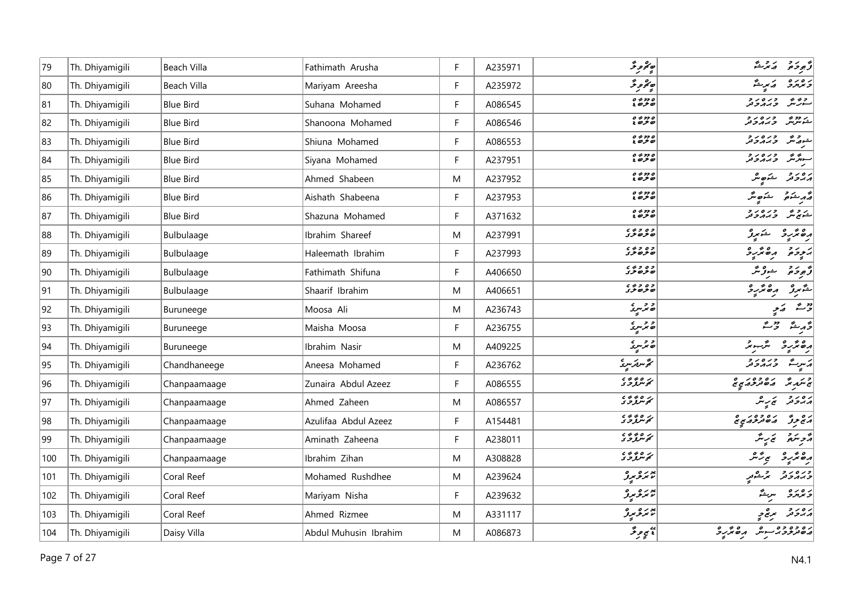| 79  | Th. Dhiyamigili | <b>Beach Villa</b> | Fathimath Arusha      | F         | A235971 | ھەمچەمەتىر<br>ئى                          | توجوحو المكرشة                                  |
|-----|-----------------|--------------------|-----------------------|-----------|---------|-------------------------------------------|-------------------------------------------------|
| 80  | Th. Dhiyamiqili | <b>Beach Villa</b> | Mariyam Areesha       | F         | A235972 | ھەمچە بوقر                                | أومره كالمربث                                   |
| 81  | Th. Dhiyamiqili | <b>Blue Bird</b>   | Suhana Mohamed        | F         | A086545 | 0 <i>4 77 0</i><br>2 0 <del>1</del> 0     | و رە ر د<br><i>د بر</i> گەر<br>شەشرىتىر         |
| 82  | Th. Dhiyamigili | <b>Blue Bird</b>   | Shanoona Mohamed      | F         | A086546 | 0 4 22 0<br>2 6 3 0                       | و ره ر و<br>تر پر ژنر<br>يە <sup>72</sup> بىر   |
| 83  | Th. Dhiyamigili | <b>Blue Bird</b>   | Shiuna Mohamed        | F         | A086553 | 0 <i>4 77 0</i><br>2 0 <del>1</del> 0     | و رە ر د<br><i>د ب</i> رگرىز<br>شەرترىگر        |
| 84  | Th. Dhiyamigili | <b>Blue Bird</b>   | Siyana Mohamed        | F         | A237951 | 0 <i>4 77 0</i><br>2 0 <del>1</del> 0     | استقریش<br>و رە ر د<br>تر پر پر تر              |
| 85  | Th. Dhiyamigili | <b>Blue Bird</b>   | Ahmed Shabeen         | M         | A237952 | 0.4720                                    | شەھ بىر<br>ەرەر ۋ                               |
| 86  | Th. Dhiyamigili | <b>Blue Bird</b>   | Aishath Shabeena      | F         | A237953 | ه <del>دو</del> ۶<br>موره ٤               | شەھ ئىگر<br>و گهر ڪر <sup>و</sup>               |
| 87  | Th. Dhiyamigili | <b>Blue Bird</b>   | Shazuna Mohamed       | F         | A371632 | 0 4 22 0<br>2 6 3 0                       | و ر ه ر و<br><i>و پر</i> و تر<br>يئە چرىتىر     |
| 88  | Th. Dhiyamiqili | Bulbulaage         | Ibrahim Shareef       | ${\sf M}$ | A237991 | وه و د »<br><b>ت</b> ه <del>ت</del> ره تر | ە ھەترىر <sup>ە</sup><br>ے مور                  |
| 89  | Th. Dhiyamigili | Bulbulaage         | Haleemath Ibrahim     | F         | A237993 | و ه و و »<br><b>ت</b> ه نومو د            | ەر ھەئرىر <sup>ە</sup><br>ر<br>بر پورې          |
| 90  | Th. Dhiyamigili | Bulbulaage         | Fathimath Shifuna     | F         | A406650 | د ه د د »<br>مه نور                       | ے وشیر<br>پ<br>و مرد<br>ترجو څخه                |
| 91  | Th. Dhiyamigili | Bulbulaage         | Shaarif Ibrahim       | M         | A406651 | د ه د د »<br>صوصور                        | رە ئرىر<br>ڪ مرڙ                                |
| 92  | Th. Dhiyamigili | Buruneege          | Moosa Ali             | ${\sf M}$ | A236743 | ە ئەسرى<br>ھىمەسرى                        | الترشيح<br>رځمني                                |
| 93  | Th. Dhiyamigili | Buruneege          | Maisha Moosa          | F         | A236755 | ە ئەسرى<br>ھىمەس <sub>ى</sub> رى          | دو مح<br>وٌ پر شَہ                              |
| 94  | Th. Dhiyamiqili | Buruneege          | Ibrahim Nasir         | ${\sf M}$ | A409225 | ه ترسر <u>،</u><br>• ترسر به              | ەرھەترىر <sup>ى</sup><br>ىتزىب تر               |
| 95  | Th. Dhiyamiqili | Chandhaneege       | Aneesa Mohamed        | F         | A236762 | كارسو ترسر بح                             | و رە ر د<br>تر پروتر<br>ر سورت <sub>ش</sub>     |
| 96  | Th. Dhiyamigili | Chanpaamaage       | Zunaira Abdul Azeez   | F         | A086555 | ىر 2 بۇ ي<br>كى سرۇرى                     | בת בי הסיניבה בי                                |
| 97  | Th. Dhiyamigili | Chanpaamaage       | Ahmed Zaheen          | M         | A086557 | ىر 2 بوم ي<br>كى سرقر تر ي                | رەرو ترىپە                                      |
| 98  | Th. Dhiyamigili | Chanpaamaage       | Azulifaa Abdul Azeez  | F         | A154481 | ىر ەيرىپى<br>كىمىس ترىرى                  | ره وه ره<br>גه تر ده ې م<br>رە ج <sup>و</sup> ڙ |
| 99  | Th. Dhiyamigili | Chanpaamaage       | Aminath Zaheena       | F         | A238011 | ړه ۶ <i>۶۶</i><br>کوسرون د                | أوحر يختص بمح بريتر                             |
| 100 | Th. Dhiyamigili | Chanpaamaage       | Ibrahim Zihan         | ${\sf M}$ | A308828 | ر ه د د ،<br>کارگرد د                     | ىپ ئەشر<br>ەر ھەتتەر 2<br>ر                     |
| 101 | Th. Dhiyamiqili | Coral Reef         | Mohamed Rushdhee      | ${\sf M}$ | A239624 | #ئىرقر يېرو                               | و ره ر و<br><i>و پر</i> پر تر<br>بخرشكومبر      |
| 102 | Th. Dhiyamigili | Coral Reef         | Mariyam Nisha         | F         | A239632 | #ئىر ۋىيە ۋ                               | ر ه ر ه<br><del>و</del> بربرو<br>سرشگ           |
| 103 | Th. Dhiyamiqili | Coral Reef         | Ahmed Rizmee          | M         | A331117 | #ئىرقر يېرو                               | پرور و                                          |
| 104 | Th. Dhiyamigili | Daisy Villa        | Abdul Muhusin Ibrahim | ${\sf M}$ | A086873 | اءٌ <sub>مح</sub> ومثَر                   | ەھ ئۆرۈ<br>ر ه و ه و ه<br>پره تربربر سوس        |
|     |                 |                    |                       |           |         |                                           |                                                 |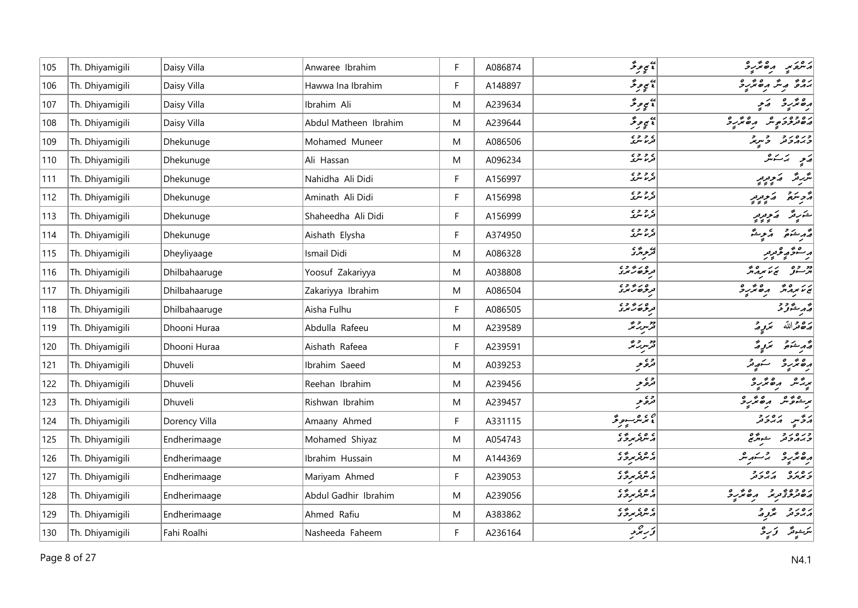| 105 | Th. Dhiyamigili | Daisy Villa   | Anwaree Ibrahim       | F         | A086874 | }ئىم جو محر                                   | برە ئۆرۈ<br>ارتقفهم                                                                                               |
|-----|-----------------|---------------|-----------------------|-----------|---------|-----------------------------------------------|-------------------------------------------------------------------------------------------------------------------|
| 106 | Th. Dhiyamiqili | Daisy Villa   | Hawwa Ina Ibrahim     | F         | A148897 | اءَ <sub>مح</sub> وموگ                        | برەپچ<br>ەھ ئررۇ<br>ø                                                                                             |
| 107 | Th. Dhiyamigili | Daisy Villa   | Ibrahim Ali           | ${\sf M}$ | A239634 | ى<br>ئاسچەرىتى                                | دەندىر                                                                                                            |
| 108 | Th. Dhiyamigili | Daisy Villa   | Abdul Matheen Ibrahim | M         | A239644 | ناسم عرقته<br>مستحق <sup>ر</sup>              | ره وه ر<br>مەھىر <i>خرى</i> مېر<br>مەھمەر                                                                         |
| 109 | Th. Dhiyamigili | Dhekunuge     | Mohamed Muneer        | M         | A086506 | ړ <i>د</i> و ،<br>تور مسر                     | ورەرو وسرچ                                                                                                        |
| 110 | Th. Dhiyamigili | Dhekunuge     | Ali Hassan            | M         | A096234 | ے ج ج ے<br>تورش سوی                           | ړې پرېش                                                                                                           |
| 111 | Th. Dhiyamiqili | Dhekunuge     | Nahidha Ali Didi      | F         | A156997 | ء ۾ ڇ ۽<br>قريا سر <sub>ک</sub>               | نگرنگ کم ویویو                                                                                                    |
| 112 | Th. Dhiyamiqili | Dhekunuge     | Aminath Ali Didi      | F         | A156998 | ړ <i>د</i> و ،<br>تور مسر                     | ړ د سره د ار د ور ور<br>د کار د کار د کار د کار د کار د کار د کار د کار د کار د کار د کار د کار د کار د کار د کار |
| 113 | Th. Dhiyamigili | Dhekunuge     | Shaheedha Ali Didi    | F         | A156999 | ے ج ج ے<br>توریم سری                          | المشركة المتحفظة<br>المشركة المتحفظة                                                                              |
| 114 | Th. Dhiyamigili | Dhekunuge     | Aishath Elysha        | F         | A374950 | ، و و ،<br>تور سری                            | ر<br>په دشتور کوچنگو                                                                                              |
| 115 | Th. Dhiyamigili | Dheyliyaage   | Ismail Didi           | M         | A086328 | ی و دی<br>تروپژی                              | ە سىۋە ۋىرىر<br>ر                                                                                                 |
| 116 | Th. Dhiyamigili | Dhilbahaaruge | Yoosuf Zakariyya      | M         | A038808 | ه در ۶ و ۷<br>درمر <i>ه ر</i> بر <sub>ک</sub> | بر رہے ہے۔<br>بح <i>ما بوہ</i> پڑ<br>دز حمو                                                                       |
| 117 | Th. Dhiyamigili | Dhilbahaaruge | Zakariyya Ibrahim     | M         | A086504 | ه در ۶ و ۷<br>درمر <i>ه ر</i> بر د            | ەھ ئرىرى<br>ى ئەسرە بىر                                                                                           |
| 118 | Th. Dhiyamigili | Dhilbahaaruge | Aisha Fulhu           | F         | A086505 | ه در ۶ و ۷<br>درمر <i>ه ر</i> بر <sub>ک</sub> | و مر شور د<br>مر مشور د                                                                                           |
| 119 | Th. Dhiyamiqili | Dhooni Huraa  | Abdulla Rafeeu        | ${\sf M}$ | A239589 | ود<br>قرمبرر تمر                              | برە قرالله<br>بمروج                                                                                               |
| 120 | Th. Dhiyamiqili | Dhooni Huraa  | Aishath Rafeea        | F         | A239591 | قرمبررجير                                     | د.<br>د کرم شوځ                                                                                                   |
| 121 | Th. Dhiyamiqili | Dhuveli       | Ibrahim Saeed         | M         | A039253 | قرة محر                                       | ە ھەترىر <sup>ە</sup><br>ستہریز                                                                                   |
| 122 | Th. Dhiyamigili | Dhuveli       | Reehan Ibrahim        | ${\sf M}$ | A239456 | وء پر                                         | ىرىرگىر<br>مەھترىرى                                                                                               |
| 123 | Th. Dhiyamigili | Dhuveli       | Rishwan Ibrahim       | ${\sf M}$ | A239457 | اقرءمو                                        | بريشوشش<br>ەھ ترىر ۋ                                                                                              |
| 124 | Th. Dhiyamigili | Dorency Villa | Amaany Ahmed          | F         | A331115 | م تومر<br>موسور محر                           | پرور و<br>اړوگر                                                                                                   |
| 125 | Th. Dhiyamigili | Endherimaage  | Mohamed Shiyaz        | M         | A054743 | ې ه وې په وي<br>مرمرکز تر                     | و ر ه ر و<br>و پر ډ تر تر<br>سشوپر ج                                                                              |
| 126 | Th. Dhiyamigili | Endherimaage  | Ibrahim Hussain       | ${\sf M}$ | A144369 | ، مەئىرىرى <i>چ</i>                           | بر سەمەر بىر<br>ىر ھەتمەر 2<br>ب                                                                                  |
| 127 | Th. Dhiyamiqili | Endherimaage  | Mariyam Ahmed         | F         | A239053 | ې ه پر پر پر په<br>مرغو پر پر پر              | ر ہ ر ہ<br><del>ر</del> بربرگ<br>پروژو                                                                            |
| 128 | Th. Dhiyamiqili | Endherimaage  | Abdul Gadhir Ibrahim  | ${\sf M}$ | A239056 | پر عربر پر پر پر                              | ەر ھەترىر 3<br>ر<br>ره وه و و د<br>مگاهر د د ترمر                                                                 |
| 129 | Th. Dhiyamigili | Endherimaage  | Ahmed Rafiu           | M         | A383862 | ء عرو بريخ د<br> مرتگر برچ                    | پر ور و                                                                                                           |
| 130 | Th. Dhiyamigili | Fahi Roalhi   | Nasheeda Faheem       | F         | A236164 |                                               | للرسوش كررو                                                                                                       |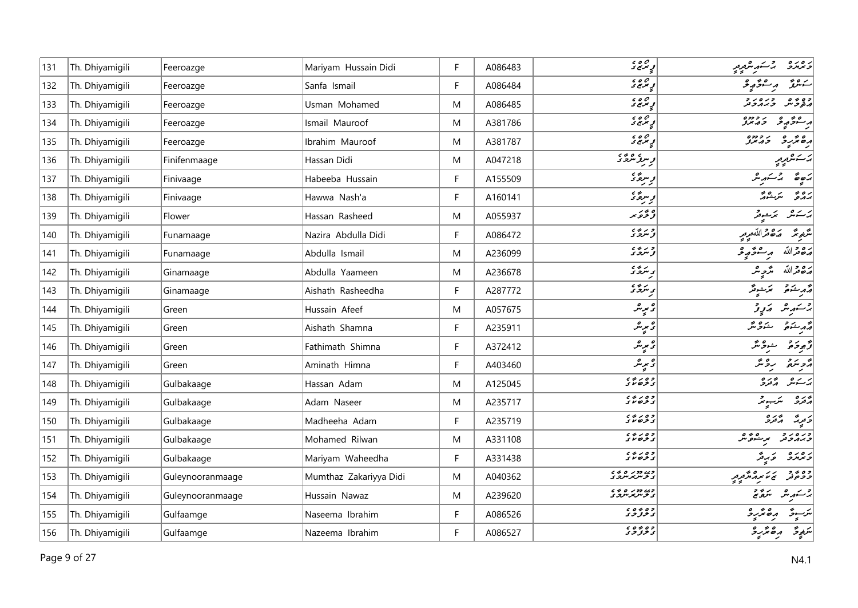| 131 | Th. Dhiyamigili | Feeroazge        | Mariyam Hussain Didi   | F. | A086483 | و ۵ ۵ م<br>په پنړۍ ک                                      | ويوبره<br>ر قریب مربر میں<br>بر سکور میں مقرر         |
|-----|-----------------|------------------|------------------------|----|---------|-----------------------------------------------------------|-------------------------------------------------------|
| 132 | Th. Dhiyamigili | Feeroazge        | Sanfa Ismail           | F  | A086484 | و ۵ ۵ م<br>پ <sub>و</sub> ټرې <sub>ک</sub>                | سەمىدى<br>مەستۇم بى                                   |
| 133 | Th. Dhiyamiqili | Feeroazge        | Usman Mohamed          | M  | A086485 | وپرېږ                                                     | כם מם כנסגב<br>הבכית כמהכת                            |
| 134 | Th. Dhiyamigili | Feeroazge        | Ismail Mauroof         | M  | A381786 | ارچوچ                                                     | ە سىقۇم بۇ<br>ر و دوه<br>تر <i>ه</i> بوتو             |
| 135 | Th. Dhiyamigili | Feeroazge        | Ibrahim Mauroof        | Μ  | A381787 | و ۵ ۵ م<br>پوسر می                                        | ەر ھەترىر <i>2</i><br>ر و دوه<br>تر پر تو             |
| 136 | Th. Dhiyamiqili | Finifenmaage     | Hassan Didi            | Μ  | A047218 | وسوعدة                                                    | ر<br>ئەسەئىر تىرىپەر<br>سەمئە                         |
| 137 | Th. Dhiyamigili | Finivaage        | Habeeba Hussain        | F  | A155509 | و سرچ <sup>ي</sup>                                        | برەڭ برسىرىر                                          |
| 138 | Th. Dhiyamigili | Finivaage        | Hawwa Nash'a           | F  | A160141 | اوسده ته<br>اوسده د                                       | رەپ سەھە                                              |
| 139 | Th. Dhiyamigili | Flower           | Hassan Rasheed         | M  | A055937 | ە بەر<br>توقرىمە                                          | يُرْسَمْسُ الْمَرْسُوقْر                              |
| 140 | Th. Dhiyamigili | Funamaage        | Nazira Abdulla Didi    | F  | A086472 | و ر په ،<br>تر سرچ د                                      | سَّعْرِ مَتَّـ صَ <sup>ّ</sup> صَّرْ اللَّهُ مِرْمَرٍ |
| 141 | Th. Dhiyamiqili | Funamaage        | Abdulla Ismail         | M  | A236099 | د بر پر پر<br>توسر <del>ی</del> ر <sub>ک</sub>            | رە داللە مەشەر                                        |
| 142 | Th. Dhiyamigili | Ginamaage        | Abdulla Yaameen        | M  | A236678 | <sub>ى مىڭم</sub> ىرى<br>                                 | گر جر مگر<br>صصرالله                                  |
| 143 | Th. Dhiyamigili | Ginamaage        | Aishath Rasheedha      | F  | A287772 | ىر ئىرىمى<br>تر ئىرى <i>م</i> ى                           | وكرمشكم المرمشوقر                                     |
| 144 | Th. Dhiyamiqili | Green            | Hussain Afeef          | Μ  | A057675 | ۇ <sub>مو</sub> پىر                                       | رحسكر مركز ويحرار                                     |
| 145 | Th. Dhiyamigili | Green            | Aishath Shamna         | F  | A235911 | ە بېرىگر                                                  | أقهر شكوه الشوح مكر                                   |
| 146 | Th. Dhiyamigili | Green            | Fathimath Shimna       | F  | A372412 | ۇ <sub>مو</sub> پىر                                       | شەرقىگر<br>—<br>ۇ بوخ تو                              |
| 147 | Th. Dhiyamiqili | Green            | Aminath Himna          | F  | A403460 | ە بىرىگر                                                  | ىر ۋىتر<br>أرمز تر                                    |
| 148 | Th. Dhiyamiqili | Gulbakaage       | Hassan Adam            | M  | A125045 | و ه ر پر پر<br>د <del>ن</del> رحه تر د                    | برسەش ئەترە                                           |
| 149 | Th. Dhiyamigili | Gulbakaage       | Adam Naseer            | M  | A235717 | وه ر پر پر<br><b>ی نژ</b> ه تو ت                          | په ره<br>د ترو<br>ىئرىب قر                            |
| 150 | Th. Dhiyamigili | Gulbakaage       | Madheeha Adam          | F  | A235719 | وه رو ء<br>ي <del>ت</del> رھ تر <sub>ک</sub>              | پر ہ<br>مرتزو<br>ئە تەرى <sup>س</sup>                 |
| 151 | Th. Dhiyamigili | Gulbakaage       | Mohamed Rilwan         | Μ  | A331108 | و ه د پر پر<br>د نژه مړي                                  | ورەرو بريۇمۇش                                         |
| 152 | Th. Dhiyamigili | Gulbakaage       | Mariyam Waheedha       | F  | A331438 | وه ریږ<br><sub>ک</sub> نژه تر <sub>ک</sub>                | ر ه ر ه<br><del>ر</del> بربرگ<br>ى بر دىگر            |
| 153 | Th. Dhiyamigili | Guleynooranmaage | Mumthaz Zakariyya Didi | M  | A040362 | وړ، دور ه د ،<br>د نوسربرسرچ د                            | وە بەر سەر ئەرگىرىر                                   |
| 154 | Th. Dhiyamigili | Guleynooranmaage | Hussain Nawaz          | M  | A239620 | وړ، دور ه پو ،<br>د <del>نو</del> سرپوسر <del>ن</del> و د | جر سکر ملتقی مرکز ج                                   |
| 155 | Th. Dhiyamiqili | Gulfaamge        | Naseema Ibrahim        | F. | A086526 | و ه و ه ه ،<br>د <del>و</del> تو و د                      | ىئەسەدى<br>ئ<br>ەرھەترىر <sup>9</sup>                 |
| 156 | Th. Dhiyamiqili | Gulfaamge        | Nazeema Ibrahim        | F  | A086527 | وه پره پر<br><b>بر تر</b> تر بر                           | سَمْوِدَ م <b>ِ</b> صَمَّرِدْ                         |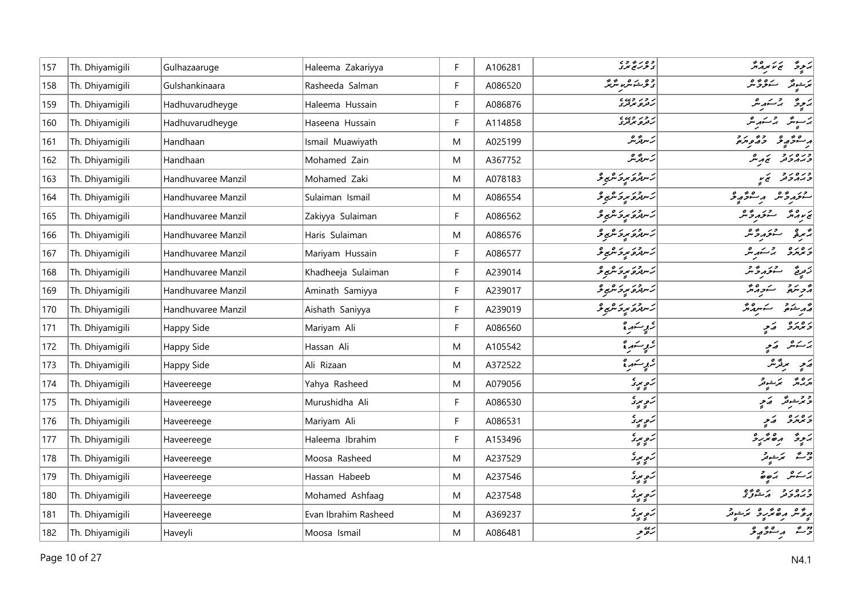| 157 | Th. Dhiyamigili | Gulhazaaruge       | Haleema Zakariyya    | F         | A106281 | و ه ر په و ،<br>  د څرن پنځ بنړۍ    | يَجِعُ بِيَ مَبِرِ مِنْ                                    |
|-----|-----------------|--------------------|----------------------|-----------|---------|-------------------------------------|------------------------------------------------------------|
| 158 | Th. Dhiyamiqili | Gulshankinaara     | Rasheeda Salman      | F         | A086520 | <sup>و و</sup> شەش ئىگە             | سەۋۋىتر<br>ىر<br>مەسىمەتىر                                 |
| 159 | Th. Dhiyamiqili | Hadhuvarudheyge    | Haleema Hussain      | F         | A086876 | ر و ر وده ه<br>رتوح موتوى           | يَجِرَّ إِرْسَهِرِسْ                                       |
| 160 | Th. Dhiyamiqili | Hadhuvarudheyge    | Haseena Hussain      | F         | A114858 | ر و ر وړ،  ،<br>رتوح بوتوی          | ىزىسىدىكە ئاشكىرىك                                         |
| 161 | Th. Dhiyamigili | Handhaan           | Ismail Muawiyath     | M         | A025199 | ئەس <i>ەرگەنگە</i>                  | وكوحيو وحرمر                                               |
| 162 | Th. Dhiyamigili | Handhaan           | Mohamed Zain         | M         | A367752 | ر<br>سر پر بگر                      | כנפנפ הקב                                                  |
| 163 | Th. Dhiyamigili | Handhuvaree Manzil | Mohamed Zaki         | M         | A078183 | ئەس <i>ترۇپرۇ</i> شب <sub>ۇ</sub> ۋ |                                                            |
| 164 | Th. Dhiyamigili | Handhuvaree Manzil | Sulaiman Ismail      | ${\sf M}$ | A086554 | ئەس <i>ترۇ ئېرى ئىبى</i> ر ق        | لتؤرقش راعقيو                                              |
| 165 | Th. Dhiyamigili | Handhuvaree Manzil | Zakiyya Sulaiman     | F         | A086562 | ئەرەترىر مورى ئىرى ئى               |                                                            |
| 166 | Th. Dhiyamiqili | Handhuvaree Manzil | Haris Sulaiman       | M         | A086576 | ئەسترۇپرىز شىر ۋ                    | رًىرە سىزىر ۋىر                                            |
| 167 | Th. Dhiyamigili | Handhuvaree Manzil | Mariyam Hussain      | F.        | A086577 | ئەرەترىر مورى ئىرى ئى               | ر ه ر ه<br><del>د</del> بربرگ<br>بر <u>م</u> سکور میگر     |
| 168 | Th. Dhiyamigili | Handhuvaree Manzil | Khadheeja Sulaiman   | F         | A239014 | ئەس <i>ترۇ ئېرى ئىبى</i> ئ          | سەنزىر ئەس<br>ترتوقج                                       |
| 169 | Th. Dhiyamigili | Handhuvaree Manzil | Aminath Samiyya      | F         | A239017 |                                     | سەدەپر<br>أأرمره                                           |
| 170 | Th. Dhiyamiqili | Handhuvaree Manzil | Aishath Saniyya      | F         | A239019 | ر ٔ سرز <i>و کم</i> ر د کرد و گر    | سەسەد<br>پ <sup>و</sup> مرشوځ                              |
| 171 | Th. Dhiyamigili | <b>Happy Side</b>  | Mariyam Ali          | F         | A086560 | ر بوسکور ؟<br>مربو                  | ويوبره<br>ەنىيە                                            |
| 172 | Th. Dhiyamigili | Happy Side         | Hassan Ali           | ${\sf M}$ | A105542 | <sup>ي</sup> پوستور ؟<br>س          | پرستمبر کامی                                               |
| 173 | Th. Dhiyamigili | <b>Happy Side</b>  | Ali Rizaan           | M         | A372522 | <sup>ي</sup> پوستور ۽               | ە ئەير ئەيدىگە                                             |
| 174 | Th. Dhiyamigili | Haveereege         | Yahya Rasheed        | M         | A079056 | ر<br>سره پېړنه                      | ره پر<br>احریر پر سیدر                                     |
| 175 | Th. Dhiyamiqili | Haveereege         | Murushidha Ali       | F         | A086530 | ر<br>رېږېدنه                        | وحرجوه كالمح                                               |
| 176 | Th. Dhiyamigili | Haveereege         | Mariyam Ali          | F         | A086531 | ئەھ <sub>ە</sub> بىرى<br>  ئەھمىرى  | ر ه ر ه<br><del>ر</del> بربرگ<br>ەكمىيە                    |
| 177 | Th. Dhiyamigili | Haveereege         | Haleema Ibrahim      | F         | A153496 | ر<br>سره مورد                       | رە ئۆر ۋ<br>برَجِرةٌ                                       |
| 178 | Th. Dhiyamigili | Haveereege         | Moosa Rasheed        | M         | A237529 | ر<br>سره پېړنه                      | وحمده المرسور                                              |
| 179 | Th. Dhiyamigili | Haveereege         | Hassan Habeeb        | M         | A237546 | ر<br>سوپېرو                         | بُرَسَدَسَ بَرَهِ جُ                                       |
| 180 | Th. Dhiyamigili | Haveereege         | Mohamed Ashfaag      | M         | A237548 | ر<br>سوپېرو                         | وره رو بر ه ده<br><i>و بر مر</i> حد بر شوت <sub>ر</sub> تح |
| 181 | Th. Dhiyamigili | Haveereege         | Evan Ibrahim Rasheed | M         | A369237 | ر<br>سره پېړۍ                       | ړ څر ره ټر د ټرمونه                                        |
| 182 | Th. Dhiyamigili | Haveyli            | Moosa Ismail         | M         | A086481 | رەيە<br>رەبىر                       | دوم په موځ په د                                            |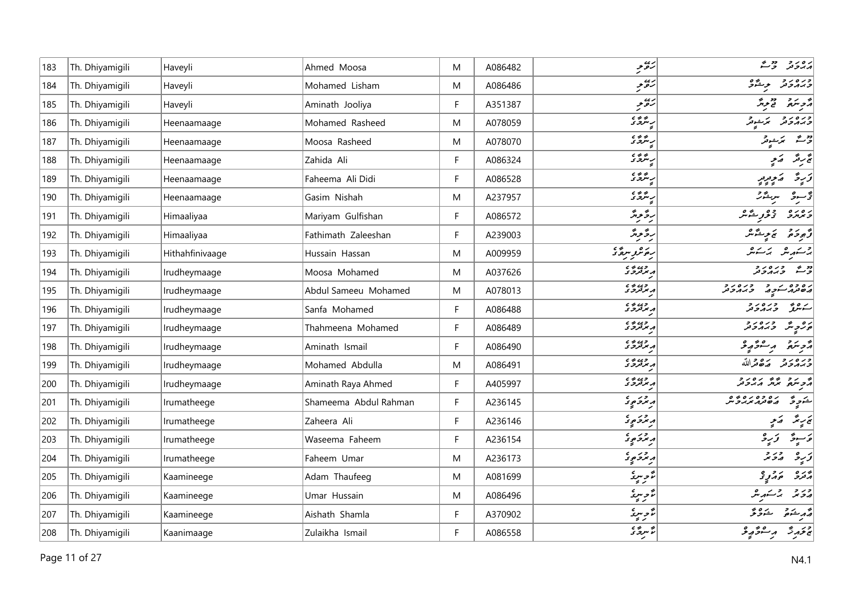| 183 | Th. Dhiyamigili | Haveyli         | Ahmed Moosa           | M  | A086482 | رەيە                              | رەرد «ش                                               |
|-----|-----------------|-----------------|-----------------------|----|---------|-----------------------------------|-------------------------------------------------------|
| 184 | Th. Dhiyamigili | Haveyli         | Mohamed Lisham        | M  | A086486 | ريمو                              | و ر ه ر و<br><i>و پر پر</i> ونر<br>وشەو               |
| 185 | Th. Dhiyamiqili | Haveyli         | Aminath Jooliya       | F. | A351387 | رەيە<br>رەبىر                     | أأروبتره فيحرار                                       |
| 186 | Th. Dhiyamigili | Heenaamaage     | Mohamed Rasheed       | M  | A078059 | ر پڙھ<br>پي مگرچ ي                | ورەرو كەشەر                                           |
| 187 | Th. Dhiyamigili | Heenaamaage     | Moosa Rasheed         | M  | A078070 | ر پڙڻ<br>په متر پر                | ورځ نمز ش <sub>و</sub> رژ<br>د                        |
| 188 | Th. Dhiyamigili | Heenaamaage     | Zahida Ali            | F. | A086324 | ر پڙھ ي<br>پيدا                   | پر پڻ هئ <b>و</b>                                     |
| 189 | Th. Dhiyamigili | Heenaamaage     | Faheema Ali Didi      | F  | A086528 | ر پژوي<br>په مترد د               | .<br>تۆرگ مەنوىرىر                                    |
| 190 | Th. Dhiyamigili | Heenaamaage     | Gasim Nishah          | M  | A237957 | رېتر <del>د</del> ی               | وي سوري سريڪر<br>ح                                    |
| 191 | Th. Dhiyamigili | Himaaliyaa      | Mariyam Gulfishan     | F  | A086572 | رۇمۇر                             | دەرە جۇرىشە                                           |
| 192 | Th. Dhiyamigili | Himaaliyaa      | Fathimath Zaleeshan   | F  | A239003 | رۇپۇر                             | توجوحه تم يشتر                                        |
| 193 | Th. Dhiyamigili | Hithahfinivaage | Hussain Hassan        | M  | A009959 | رۇشۇر بىرقە ئە                    | چە سەر سىر بەر سەس                                    |
| 194 | Th. Dhiyamigili | Irudheymaage    | Moosa Mohamed         | M  | A037626 | و ده بو د<br>در موتور د           | وور ورەر و                                            |
| 195 | Th. Dhiyamigili | Irudheymaage    | Abdul Sameeu Mohamed  | M  | A078013 | د ور، و ،<br>د برګرد د            | נסכם הבדי כנסנכ<br>הסנג הבה כמגבת                     |
| 196 | Th. Dhiyamiqili | Irudheymaage    | Sanfa Mohamed         | F. | A086488 | <br>  پر برتر تر ی                | شەھەر 1975 كىل                                        |
| 197 | Th. Dhiyamigili | Irudheymaage    | Thahmeena Mohamed     | F  | A086489 | و در بر د<br>در موتور و           | وروپٹر ورورو                                          |
| 198 | Th. Dhiyamigili | Irudheymaage    | Aminath Ismail        | F. | A086490 | و پره پر بر<br>در موتور پ         | ۇجرىئى مەستۇم بۇ                                      |
| 199 | Th. Dhiyamigili | Irudheymaage    | Mohamed Abdulla       | M  | A086491 | و ده و د و<br>در موتور و          | وره رو ده دالله                                       |
| 200 | Th. Dhiyamiqili | Irudheymaage    | Aminath Raya Ahmed    | F. | A405997 | و ده و د د<br>در موتور و د        | ه درو پره رورو<br>مرد شي عبر مندونر                   |
| 201 | Th. Dhiyamigili | Irumatheege     | Shameema Abdul Rahman | F  | A236145 | ېر پر دې ده<br>ر                  | ره وه ره ده.<br>پره تربر بربر تر س<br>ڪور <i>و</i> گر |
| 202 | Th. Dhiyamigili | Irumatheege     | Zaheera Ali           | F. | A236146 | ېر بر دې<br>بر بر دې              | ىم پەيتى ھەم<br>ئاسىيە                                |
| 203 | Th. Dhiyamigili | Irumatheege     | Waseema Faheem        | F  | A236154 | ېر پر دې<br>بر برد م <sub>و</sub> | ځ سوڅ<br>تزرٍ و                                       |
| 204 | Th. Dhiyamigili | Irumatheege     | Faheem Umar           | M  | A236173 | د بردې<br>د بردې                  | تزرٍ و<br>ور و<br>مر <del>و</del> نمر                 |
| 205 | Th. Dhiyamiqili | Kaamineege      | Adam Thaufeeg         | M  | A081699 | مۇجەسى<br>مۇج                     | پور ہ<br>پرترنژ<br>ە ئەرىپى                           |
| 206 | Th. Dhiyamigili | Kaamineege      | Umar Hussain          | M  | A086496 | ر<br>مار سور                      | وروا بر شهر میں                                       |
| 207 | Th. Dhiyamiqili | Kaamineege      | Aishath Shamla        | F  | A370902 | مڈحہ میرنگے<br>سرچ                | د الله عنده می                                        |
| 208 | Th. Dhiyamigili | Kaanimaage      | Zulaikha Ismail       | F  | A086558 | تأسرة كا                          | ى ئور شەھرىم ئور                                      |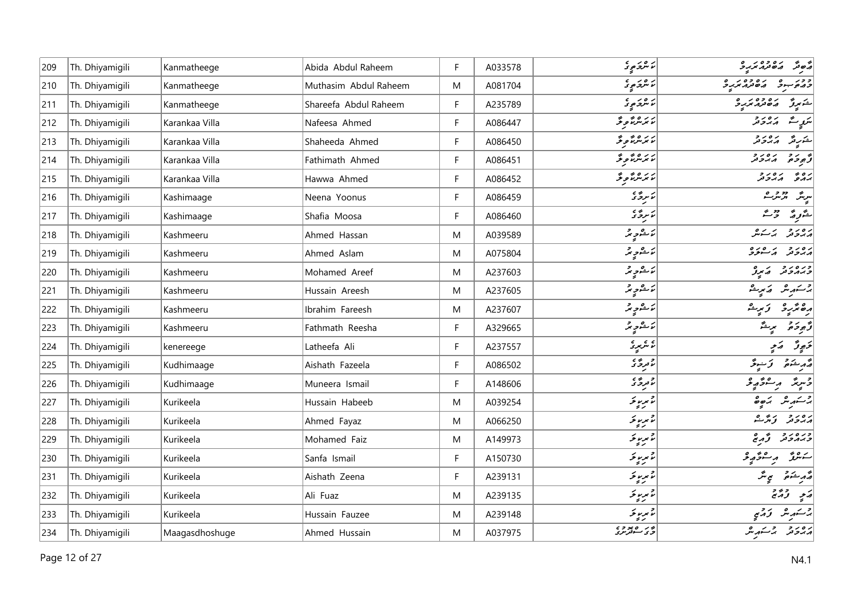| 209 | Th. Dhiyamiqili | Kanmatheege    | Abida Abdul Raheem    | F         | A033578 | ر ه پر په<br>مشر څونو                                       | ره وه ره<br>پره تربر تر<br>و ځانگه<br>د خانگه                  |
|-----|-----------------|----------------|-----------------------|-----------|---------|-------------------------------------------------------------|----------------------------------------------------------------|
| 210 | Th. Dhiyamiqili | Kanmatheege    | Muthasim Abdul Raheem | M         | A081704 | بزېږې تور                                                   | ر ه و ه ر ه<br>پره تربر تربر و<br>و ور<br>د پرېڅ ښود           |
| 211 | Th. Dhiyamiqili | Kanmatheege    | Shareefa Abdul Raheem | F         | A235789 | لأمثر خروته                                                 | ره وه د ره<br>پره تربر تر<br>ىشەمرۇگ                           |
| 212 | Th. Dhiyamiqili | Karankaa Villa | Nafeesa Ahmed         | F         | A086447 | ر برە ئەرگە                                                 | سَموٍےً<br>پروژبر                                              |
| 213 | Th. Dhiyamigili | Karankaa Villa | Shaheeda Ahmed        | F         | A086450 | ئەنگەرىگە بەرگە                                             | بر ٥ پر و<br>م <i>ر</i> بر <del>و</del> تر<br>ے کمبر مگر<br>س  |
| 214 | Th. Dhiyamiqili | Karankaa Villa | Fathimath Ahmed       | F         | A086451 | ر بەر ھەم ئە<br>ئائىر يىرىم <sup>تا</sup> ج <sub>ە</sub> ئى | ۇ ب <sub>و</sub> ر د<br>ر ه ر د<br>م <i>. د</i> <del>د</del> ر |
| 215 | Th. Dhiyamiqili | Karankaa Villa | Hawwa Ahmed           | F         | A086452 | ر رەپە ئەرگە<br>ئائىرىنزى <i>ر</i> گو                       | ره به ره رو<br>برګړې کمربرونو                                  |
| 216 | Th. Dhiyamigili | Kashimaage     | Neena Yoonus          | F         | A086459 | ر<br>ما موتژی                                               | سريگر افزيگرڪ                                                  |
| 217 | Th. Dhiyamiqili | Kashimaage     | Shafia Moosa          | F         | A086460 | ر<br>ما مرد د                                               | دويته<br>شَرُو پُرُ                                            |
| 218 | Th. Dhiyamiqili | Kashmeeru      | Ahmed Hassan          | ${\sf M}$ | A039589 | ئەش <sub>ى</sub> ر پر                                       | رەرو برىكە                                                     |
| 219 | Th. Dhiyamiqili | Kashmeeru      | Ahmed Aslam           | M         | A075804 | ىر ھ <sub>ى</sub> جەر                                       | رەرد پەرە                                                      |
| 220 | Th. Dhiyamiqili | Kashmeeru      | Mohamed Areef         | M         | A237603 | ئەش <sub>ى</sub> ر پر                                       | ورەر د كەيرۇ                                                   |
| 221 | Th. Dhiyamiqili | Kashmeeru      | Hussain Areesh        | ${\sf M}$ | A237605 | ئەش <sub>ى</sub> ر پر                                       | وجسكمرش كالمجيب                                                |
| 222 | Th. Dhiyamiqili | Kashmeeru      | Ibrahim Fareesh       | M         | A237607 | ئەھەر چە<br>مۇھەر                                           | ە ھەترىرى<br>برھەترىرى<br>تر مرشہ                              |
| 223 | Th. Dhiyamiqili | Kashmeeru      | Fathmath Reesha       | F         | A329665 | ئەھەر بەر<br>ئاھىر بىر                                      | ومودة المنظم                                                   |
| 224 | Th. Dhiyamigili | kenereege      | Latheefa Ali          | F         | A237557 | ى<br>ئامىرىموچ                                              | خوېژ<br>ەنىيە                                                  |
| 225 | Th. Dhiyamiqili | Kudhimaage     | Aishath Fazeela       | F         | A086502 | د<br>ما تورد د                                              | دە ئەت كەنبە <del>د</del>                                      |
| 226 | Th. Dhiyamiqili | Kudhimaage     | Muneera Ismail        | F         | A148606 | د و و ء<br>ما فرقری                                         | د سرپر<br>حرم پر<br>وسترة ويحر                                 |
| 227 | Th. Dhiyamiqili | Kurikeela      | Hussain Habeeb        | M         | A039254 | ر<br>سىمىر بىرىد                                            | بر سکور شرکت بر کرده                                           |
| 228 | Th. Dhiyamiqili | Kurikeela      | Ahmed Fayaz           | ${\sf M}$ | A066250 | لأمرء كحه                                                   | رەرد زېژگ                                                      |
| 229 | Th. Dhiyamiqili | Kurikeela      | Mohamed Faiz          | M         | A149973 | ر<br>مايوروځه                                               | ترٌ مر ج<br>و ره ر و<br><i>و ټ</i> رو تر                       |
| 230 | Th. Dhiyamigili | Kurikeela      | Sanfa Ismail          | F         | A150730 | ر<br>ماسرىيە خە                                             | سەھدىر مەشرىمور                                                |
| 231 | Th. Dhiyamigili | Kurikeela      | Aishath Zeena         | F         | A239131 | ر<br>ماسرپونې                                               |                                                                |
| 232 | Th. Dhiyamiqili | Kurikeela      | Ali Fuaz              | ${\sf M}$ | A239135 | ر<br>مايرىدىخە                                              | $5.93$ $2.9$                                                   |
| 233 | Th. Dhiyamiqili | Kurikeela      | Hussain Fauzee        | ${\sf M}$ | A239148 | ر<br>ئىمرىيە خە                                             | برسكور ترومي                                                   |
| 234 | Th. Dhiyamigili | Maagasdhoshuge | Ahmed Hussain         | M         | A037975 | بر رحس و د د<br>تر که مسلومور                               | رەرو جەكىرىش                                                   |
|     |                 |                |                       |           |         |                                                             |                                                                |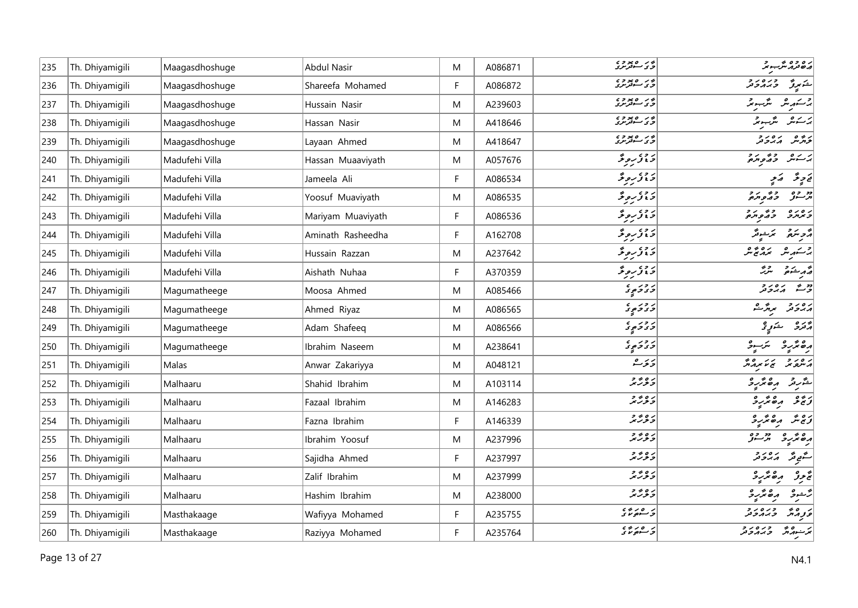| 235 | Th. Dhiyamigili | Maagasdhoshuge | <b>Abdul Nasir</b> | ${\sf M}$ | A086871 | به رحم به و د<br>و ی سوتوری        | رە دە ئە<br>مەھەرمەترىب تە                                         |
|-----|-----------------|----------------|--------------------|-----------|---------|------------------------------------|--------------------------------------------------------------------|
| 236 | Th. Dhiyamiqili | Maagasdhoshuge | Shareefa Mohamed   | F         | A086872 | بر رحس و د د<br>و ی سستمبرسوی      | و ره ر و<br><i>د ټ</i> رو تر<br> شەمرىژ                            |
| 237 | Th. Dhiyamiqili | Maagasdhoshuge | Hussain Nasir      | ${\sf M}$ | A239603 | بر رحس و د د<br>تر که مستولوی      | برسكريش الكرسوير                                                   |
| 238 | Th. Dhiyamigili | Maagasdhoshuge | Hassan Nasir       | M         | A418646 | بر رحس و د د<br>تر که مسلومور      | ئەسەئى <sup>س</sup><br>ىگرىبەنجە                                   |
| 239 | Th. Dhiyamigili | Maagasdhoshuge | Layaan Ahmed       | ${\sf M}$ | A418647 | ر در ه پر و ،<br>د کاسوتوری        | ترش مرور و                                                         |
| 240 | Th. Dhiyamigili | Madufehi Villa | Hassan Muaaviyath  | M         | A057676 | ر دې<br>د نوروڅ                    | و پر مر و<br>تر <i>م</i> ر مرمو<br>بزسەيىتى                        |
| 241 | Th. Dhiyamigili | Madufehi Villa | Jameela Ali        | F         | A086534 | ر وي <sub>مرحو</sub> مځه<br>د نرگ  | تحاويجن أتكامي                                                     |
| 242 | Th. Dhiyamigili | Madufehi Villa | Yoosuf Muaviyath   | M         | A086535 | ر وي <sub>مرحو</sub> مځه<br>د نرگر | و پ <sub>ھ مر</sub> و<br>تر <i>م</i> رکو مربو<br>دد حره<br>در سرگو |
| 243 | Th. Dhiyamiqili | Madufehi Villa | Mariyam Muaviyath  | F         | A086536 | 3 ئۇروقە                           | و پر بر د<br>تروگرمرمو<br>ر ه ر ه<br><del>ر</del> بربرگ            |
| 244 | Th. Dhiyamiqili | Madufehi Villa | Aminath Rasheedha  | F         | A162708 | ر دې<br>د نورونژ                   | ړې سره<br>ىمرىشەقر                                                 |
| 245 | Th. Dhiyamigili | Madufehi Villa | Hussain Razzan     | M         | A237642 | 5، ۇروڭر                           | ىرە بە ھ<br>ئىرەرىخ مىر<br>جە ئەمەر بىر<br>بە                      |
| 246 | Th. Dhiyamigili | Madufehi Villa | Aishath Nuhaa      | F         | A370359 | ر دې<br>د نوروڅ                    | پ <sup>و</sup> پر شوې<br>سربر                                      |
| 247 | Th. Dhiyamigili | Magumatheege   | Moosa Ahmed        | M         | A085466 | ر و ر پ<br>د تاره د                | ووقع برەر و                                                        |
| 248 | Th. Dhiyamigili | Magumatheege   | Ahmed Riyaz        | ${\sf M}$ | A086565 | ر در<br>د روړې                     | رەرد بەرگە<br>مەردىر بىرگەشى                                       |
| 249 | Th. Dhiyamigili | Magumatheege   | Adam Shafeeg       | M         | A086566 | ر در<br>5 د د مړ                   | پور ہ<br>پر تعری<br>ڪو <sub>نو</sub> ئو                            |
| 250 | Th. Dhiyamiqili | Magumatheege   | Ibrahim Naseem     | M         | A238641 | ر در<br>د رور ء                    | وەتمەر<br>ىئرسەۋ                                                   |
| 251 | Th. Dhiyamigili | Malas          | Anwar Zakariyya    | M         | A048121 | ىر ئەر<br>م                        | גפני ז' את ה                                                       |
| 252 | Th. Dhiyamigili | Malhaaru       | Shahid Ibrahim     | M         | A103114 | ر ه و و<br>5 گرمگ                  | برە ئۆرۈ<br>ڪ مرمر<br>ر                                            |
| 253 | Th. Dhiyamigili | Malhaaru       | Fazaal Ibrahim     | M         | A146283 | ژه ژبر                             | ەھ ترىرى<br>ترتج ثر                                                |
| 254 | Th. Dhiyamigili | Malhaaru       | Fazna Ibrahim      | F         | A146339 | ره و و                             | ە ھەترىر ۋ<br>ۇ ئەشر                                               |
| 255 | Th. Dhiyamigili | Malhaaru       | Ibrahim Yoosuf     | M         | A237996 | ىرە بەر                            | دد و ه<br>در سور<br>ەرھەترىر <sup>ى</sup>                          |
| 256 | Th. Dhiyamigili | Malhaaru       | Sajidha Ahmed      | F         | A237997 | ىرە بەر                            | سَّنْمُ مِرَّر<br>پروژو                                            |
| 257 | Th. Dhiyamiqili | Malhaaru       | Zalif Ibrahim      | M         | A237999 | ى ۋە تەر                           | پج <sub>مح</sub> رثر<br>ە ھەترىرى<br>برھەترىرى                     |
| 258 | Th. Dhiyamigili | Malhaaru       | Hashim Ibrahim     | ${\sf M}$ | A238000 | ى ۋە تەر                           | ە ھەمەر 2<br>برەھمەر 2<br>ر<br>ششور محمد<br>مسلم                   |
| 259 | Th. Dhiyamiqili | Masthakaage    | Wafiyya Mohamed    | F         | A235755 | ر ۱۵ رو <sup>ء</sup><br>5 سوه تړن  | ءَ وِ مهڻه<br>ورەرد<br><mark>ر</mark> بەد <i>چ</i> ىر              |
| 260 | Th. Dhiyamigili | Masthakaage    | Raziyya Mohamed    | F         | A235764 | ر ۱۵۷۵.<br>5 سوم ړ                 | ر ده دره در<br>برسه در درون                                        |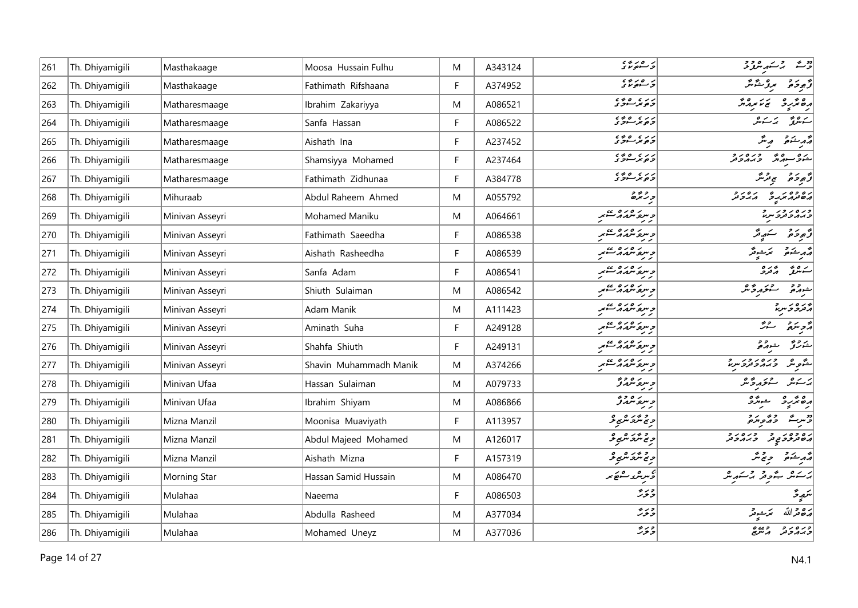| 261 | Th. Dhiyamigili | Masthakaage     | Moosa Hussain Fulhu    | M         | A343124 | ر ۱۵ رو و<br>تر سوه رو د                             | دور د س <sub>ک</sub> ر مورد             |
|-----|-----------------|-----------------|------------------------|-----------|---------|------------------------------------------------------|-----------------------------------------|
| 262 | Th. Dhiyamiqili | Masthakaage     | Fathimath Rifshaana    | F         | A374952 | ر ۱۵۷۵<br><del>د</del> سومان                         | ۇۋەۋە برۇشەر                            |
| 263 | Th. Dhiyamiqili | Matharesmaage   | Ibrahim Zakariyya      | ${\sf M}$ | A086521 | ر ر ء مرو <del>ءِ</del><br>حرم تر سو د ي             | תפתוב התגרת                             |
| 264 | Th. Dhiyamigili | Matharesmaage   | Sanfa Hassan           | F         | A086522 | ر ر ، ر ه » ،<br><del>و ه</del> بر شو د              | سەھەت بەسەھ                             |
| 265 | Th. Dhiyamigili | Matharesmaage   | Aishath Ina            | F         | A237452 | ر ر ر ه و و ر<br><del>و ه</del> بر سور               | مەرىشىتى مەنگە                          |
| 266 | Th. Dhiyamiqili | Matharesmaage   | Shamsiyya Mohamed      | F         | A237464 | ر ر په ره و په<br><del>ر</del> ه پر سور <sub>ک</sub> | شره سهره وره رو                         |
| 267 | Th. Dhiyamigili | Matharesmaage   | Fathimath Zidhunaa     | F         | A384778 | ر ر ر ه و د ،<br><del>ر</del> ه پر سور د             | قەم ئەقتىرىتىگە                         |
| 268 | Th. Dhiyamigili | Mihuraab        | Abdul Raheem Ahmed     | ${\sf M}$ | A055792 | ورثوة                                                | נפכס נפי נפניק<br>הסנג גניק גנפני       |
| 269 | Th. Dhiyamigili | Minivan Asseyri | Mohamed Maniku         | ${\sf M}$ | A064661 | احەسى ھەرەبىيە<br>سىرى شىمەم سىمىر                   | כנס בבי הקב<br> כמח בנקבית מ            |
| 270 | Th. Dhiyamiqili | Minivan Asseyri | Fathimath Saeedha      | F         | A086538 | حەسى ھەدەرى<br>مەسىم سىمە كەنسىسى                    | رتموذة كسكر                             |
| 271 | Th. Dhiyamigili | Minivan Asseyri | Aishath Rasheedha      | F         | A086539 | وسرە ئىرە ئىسىم                                      | لأرشكم كرشوتر                           |
| 272 | Th. Dhiyamigili | Minivan Asseyri | Sanfa Adam             | F         | A086541 | حەسى مەدەبىيە<br>مەسىم مىسىم كەنتىسى                 | سەھەر ئەترە                             |
| 273 | Th. Dhiyamigili | Minivan Asseyri | Shiuth Sulaiman        | M         | A086542 | حەسى شەھرەك كەنتىر<br>مەسىم شەھرىك كەنتىر            | شود و<br>شوارهی<br>سەخەر ۋىتر           |
| 274 | Th. Dhiyamigili | Minivan Asseyri | Adam Manik             | ${\sf M}$ | A111423 | حەسى ھەرە بىيە<br>مەر                                | پر ده ر<br>مرکز <i>د</i> کرر            |
| 275 | Th. Dhiyamigili | Minivan Asseyri | Aminath Suha           | F         | A249128 | حرسرى شمده كمستعمر                                   | ړ څخه شر                                |
| 276 | Th. Dhiyamiqili | Minivan Asseyri | Shahfa Shiuth          | F         | A249131 | حەس مەدەبىيە<br>مەس ھەم مەسىر                        | أشوري الشوارج                           |
| 277 | Th. Dhiyamigili | Minivan Asseyri | Shavin Muhammadh Manik | M         | A374266 | جە سرىھ سرەر مىيە<br>س                               | أشور ورورور                             |
| 278 | Th. Dhiyamigili | Minivan Ufaa    | Hassan Sulaiman        | M         | A079733 | ج سره شرور و                                         | برسىش سىخمى ۋىر                         |
| 279 | Th. Dhiyamigili | Minivan Ufaa    | Ibrahim Shiyam         | M         | A086866 | اد سرهٔ شدد محمد د                                   | رە ئەر ئىستىدە                          |
| 280 | Th. Dhiyamigili | Mizna Manzil    | Moonisa Muaviyath      | F         | A113957 | جە ئەڭرىشى بۇ                                        | כתים כביבתים                            |
| 281 | Th. Dhiyamiqili | Mizna Manzil    | Abdul Majeed Mohamed   | M         | A126017 | <sub>جەنم</sub> ئىگە ئىگەنچە تىر                     | גם כסג כדור בגם גב<br>השנת כבוב בג הבנג |
| 282 | Th. Dhiyamiqili | Mizna Manzil    | Aishath Mizna          | F         | A157319 | <sub>حە</sub> ئە ئەڭ ئىرىمى قە                       | أقهر شوقو المحافر                       |
| 283 | Th. Dhiyamiqili | Morning Star    | Hassan Samid Hussain   | ${\sf M}$ | A086470 | ئۇسرىئرى س <sup>ى</sup> قىمىر                        | ىز سەنگە سەھەتىر بەسەر بىر              |
| 284 | Th. Dhiyamiqili | Mulahaa         | Naeema                 | F         | A086503 | ودوٌ                                                 | سمەتر                                   |
| 285 | Th. Dhiyamigili | Mulahaa         | Abdulla Rasheed        | M         | A377034 | ورو                                                  | حدة قدالله سمن المحمد                   |
| 286 | Th. Dhiyamigili | Mulahaa         | Mohamed Uneyz          | ${\sf M}$ | A377036 | ورو                                                  | כנסנכ כגום<br>כגובב גיעה                |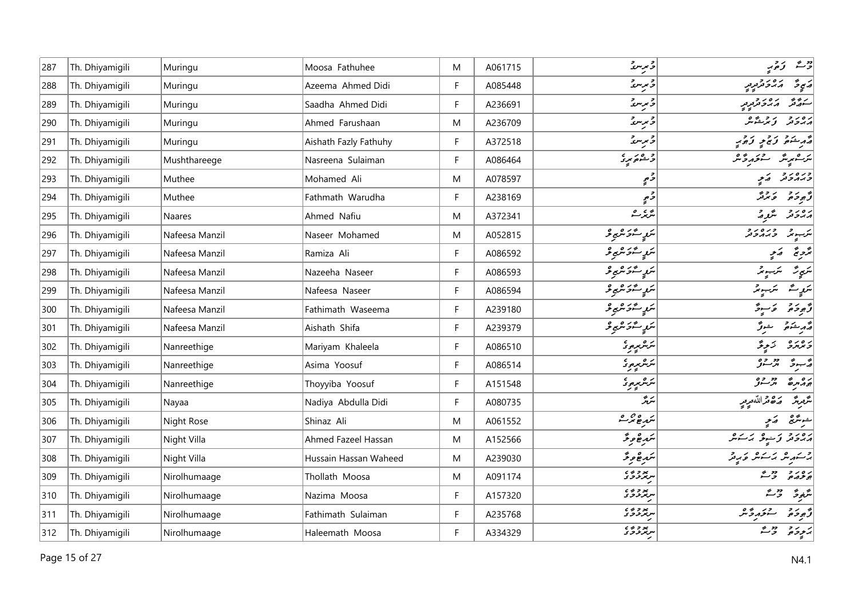| 287 | Th. Dhiyamigili | Muringu        | Moosa Fathuhee        | M           | A061715 | وحمرسر                           | در مع تورم به<br>منابع من                                       |
|-----|-----------------|----------------|-----------------------|-------------|---------|----------------------------------|-----------------------------------------------------------------|
| 288 | Th. Dhiyamigili | Muringu        | Azeema Ahmed Didi     | F           | A085448 | 3 برسر ح                         |                                                                 |
| 289 | Th. Dhiyamiqili | Muringu        | Saadha Ahmed Didi     | F           | A236691 | وتمرسو                           |                                                                 |
| 290 | Th. Dhiyamigili | Muringu        | Ahmed Farushaan       | M           | A236709 | تر سر سر حر<br>                  | رەرو روشگەر                                                     |
| 291 | Th. Dhiyamigili | Muringu        | Aishath Fazly Fathuhy | F.          | A372518 | وحمرسر                           | ومشاه ويمو والمحم                                               |
| 292 | Th. Dhiyamigili | Mushthareege   | Nasreena Sulaiman     | F           | A086464 | وتشوتم برنج                      |                                                                 |
| 293 | Th. Dhiyamigili | Muthee         | Mohamed Ali           | M           | A078597 | ترمج                             | دره در در                                                       |
| 294 | Th. Dhiyamigili | Muthee         | Fathmath Warudha      | F           | A238169 | و<br>حرمج                        | توجدة وترقد                                                     |
| 295 | Th. Dhiyamiqili | <b>Naares</b>  | Ahmed Nafiu           | M           | A372341 | پرې ه<br>مربر سر                 | رەرو شرو                                                        |
| 296 | Th. Dhiyamiqili | Nafeesa Manzil | Naseer Mohamed        | M           | A052815 | ىئرى <sub>ي</sub> ە شەھرىسى بىر  |                                                                 |
| 297 | Th. Dhiyamigili | Nafeesa Manzil | Ramiza Ali            | F           | A086592 | ىئىر ئەز ئى <sub>رى</sub> جى     | بروج الأمج                                                      |
| 298 | Th. Dhiyamigili | Nafeesa Manzil | Nazeeha Naseer        | F           | A086593 | ىئرى <sub>ي</sub> ە شەھرىسى بىر  | للريم ثم اللائب الر                                             |
| 299 | Th. Dhiyamiqili | Nafeesa Manzil | Nafeesa Naseer        | F           | A086594 | ىئى <sub>ر س</sub> ىئە ئىرىمى ئى | للكريث الكرسولا                                                 |
| 300 | Th. Dhiyamiqili | Nafeesa Manzil | Fathimath Waseema     | F.          | A239180 | ىئى <sub>ر</sub> شۇشىر ۋ         | وٌمودَهُ وَسِيرٌ                                                |
| 301 | Th. Dhiyamigili | Nafeesa Manzil | Aishath Shifa         | F           | A239379 | سَمْدٍ سَنْهَرَ سْرَى حِمْ       | ر<br>د گهر شوه<br>د<br>شورٌ                                     |
| 302 | Th. Dhiyamigili | Nanreethige    | Mariyam Khaleela      | F           | A086510 | ىر شەيرە ئ<br>مىر شەير           | ر ه ر ه<br><del>ر</del> بر بر و<br>تزوٍوَّ                      |
| 303 | Th. Dhiyamigili | Nanreethige    | Asima Yoosuf          | F.          | A086514 | ىئەبىرىدى<br>ئ                   | دو وه<br>در سور<br>وشبيرة                                       |
| 304 | Th. Dhiyamiqili | Nanreethige    | Thoyyiba Yoosuf       | F           | A151548 | ىكەبىر يەرى<br>س                 | دد حرو<br>پر ورځ<br>جوړمر <b>ځ</b>                              |
| 305 | Th. Dhiyamiqili | Nayaa          | Nadiya Abdulla Didi   | F           | A080735 | ىترىژ                            | صرح قمر اللّه مرمر<br>صرح مر اللّه مرمر<br>ىترىرى <i>ر</i><br>م |
| 306 | Th. Dhiyamigili | Night Rose     | Shinaz Ali            | M           | A061552 | يتدعونمر                         | شوشنج وكمح                                                      |
| 307 | Th. Dhiyamigili | Night Villa    | Ahmed Fazeel Hassan   | M           | A152566 | ىئىرغوقر                         | رەرد رىيو ئەسكە                                                 |
| 308 | Th. Dhiyamigili | Night Villa    | Hussain Hassan Waheed | M           | A239030 | ىئەرغۇر ئۇ                       | چە سەر بىر سەنگە ئەيدىم                                         |
| 309 | Th. Dhiyamiqili | Nirolhumaage   | Thollath Moosa        | M           | A091174 | یر و د د ،<br>سربوبوتر و         | 27.200                                                          |
| 310 | Th. Dhiyamiqili | Nirolhumaage   | Nazima Moosa          | $\mathsf F$ | A157320 | سر پر و بر ی<br>سرپر بر و ی      | ديسته<br>متزموقر                                                |
| 311 | Th. Dhiyamiqili | Nirolhumaage   | Fathimath Sulaiman    | F           | A235768 | پروږي<br>سرپربروي                | و څو څخه د<br>لەر ئەرگە ئە<br>سىزىر ئەنگە                       |
| 312 | Th. Dhiyamigili | Nirolhumaage   | Haleemath Moosa       | F           | A334329 | پر و و و ء<br>موټرنر و ی         | برودة وحيثم                                                     |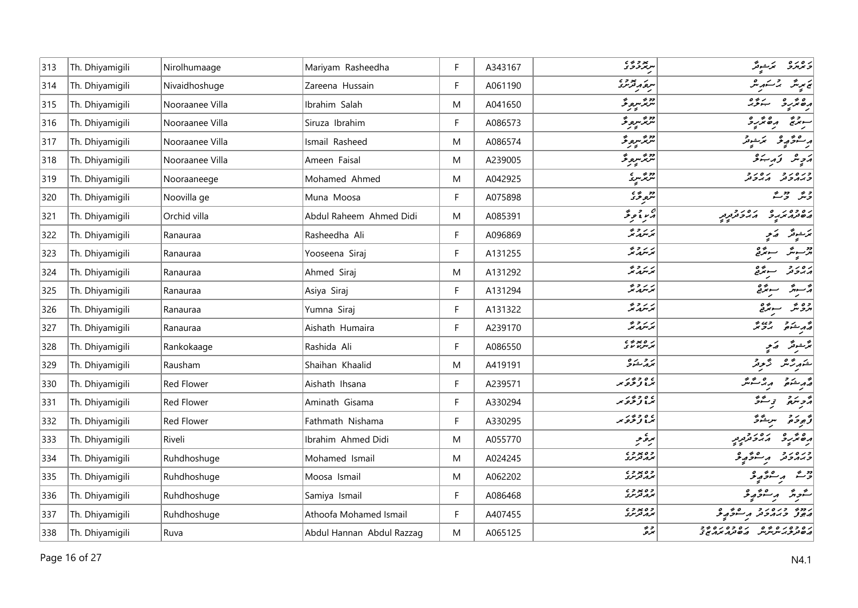| 313 | Th. Dhiyamiqili | Nirolhumaage      | Mariyam Rasheedha         | F. | A343167 | یر و و د ،<br>سربوبوتر ی       | رەرە ب <sub>ىرىشوتى</sub> گە<br>جىمەرى بىرىش <sub>ە</sub> تگە                                       |
|-----|-----------------|-------------------|---------------------------|----|---------|--------------------------------|-----------------------------------------------------------------------------------------------------|
| 314 | Th. Dhiyamigili | Nivaidhoshuge     | Zareena Hussain           | F  | A061190 | سرء مرد پر دی                  | ىر ئەمەر بىر<br>ئے سریٹر                                                                            |
| 315 | Th. Dhiyamiqili | Nooraanee Villa   | Ibrahim Salah             | M  | A041650 | در<br>ترېژمبرو ځه              | دەندىرە<br>سە ئەر                                                                                   |
| 316 | Th. Dhiyamigili | Nooraanee Villa   | Siruza Ibrahim            | F  | A086573 | در<br>مربر سره مر              | اسوپرچ<br>په<br>ەھ ترىر ۋ                                                                           |
| 317 | Th. Dhiyamiqili | Nooraanee Villa   | Ismail Rasheed            | M  | A086574 | بىز ئەسرە ئە<br>ئىرىمەسرە      | رەڭ ئۇربۇ ئىمىشىر                                                                                   |
| 318 | Th. Dhiyamigili | Nooraanee Villa   | Ameen Faisal              | M  | A239005 | بىز ئەسرە ئ <sup>ۇ</sup>       | أزويثر أورجنى                                                                                       |
| 319 | Th. Dhiyamigili | Nooraaneege       | Mohamed Ahmed             | M  | A042925 | دو پر<br>مربر س <sub>و</sub> ر | כנסנכ נסנכ<br>כגמכנ <sub>י</sub> מגבנ                                                               |
| 320 | Th. Dhiyamiqili | Noovilla ge       | Muna Moosa                | F  | A075898 | دو په په<br>سرعر د             | ویژ وژگ                                                                                             |
| 321 | Th. Dhiyamiqili | Orchid villa      | Abdul Raheem Ahmed Didi   | M  | A085391 | ەر بەر ئەرگە<br>مەس            | גם כם גם הכל בתוק.<br>הסתחת ב                                                                       |
| 322 | Th. Dhiyamiqili | Ranauraa          | Rasheedha Ali             | F  | A096869 | بربردير                        | للمشيئر الكعج                                                                                       |
| 323 | Th. Dhiyamigili | Ranauraa          | Yooseena Siraj            | F  | A131255 | بربردير                        | دو به شور برده<br>در سور برده                                                                       |
| 324 | Th. Dhiyamigili | Ranauraa          | Ahmed Siraj               | M  | A131292 | ىر بر دې<br>مرسمد مگ           | ر ه ر د<br>م.ر څر<br>سىرتىرقى                                                                       |
| 325 | Th. Dhiyamiqili | Ranauraa          | Asiya Siraj               | F  | A131294 | بربردير                        | $\overbrace{~~}^{\circ}_{\circ} \overbrace{~~}^{\circ}_{\circ} \overbrace{~~}^{\circ}$<br>پر<br>مرس |
| 326 | Th. Dhiyamiqili | Ranauraa          | Yumna Siraj               | F  | A131322 | ىر بەر جە<br>مەسىمە ئىر        | سوئدة<br>و ه پو<br>در د س                                                                           |
| 327 | Th. Dhiyamigili | Ranauraa          | Aishath Humaira           | F  | A239170 | بربردير                        | وړي پر<br>بر <del>و</del> بو<br>و مر شو د<br>مر                                                     |
| 328 | Th. Dhiyamigili | Rankokaage        | Rashida Ali               | F  | A086550 | ر ٥ پر د ٥<br>برس را ر         | نگ منبونگر کرکن<br>مرگ استان                                                                        |
| 329 | Th. Dhiyamiqili | Rausham           | Shaihan Khaalid           | M  | A419191 | برديده                         | خىرىگى ئىچە                                                                                         |
| 330 | Th. Dhiyamiqili | <b>Red Flower</b> | Aishath Ihsana            | F  | A239571 | ، ه و و د ر<br>بر ه تو نژه بر  | ەر بۇ شەئىر<br>پ <sup>و</sup> پر شوچ                                                                |
| 331 | Th. Dhiyamiqili | <b>Red Flower</b> | Aminath Gisama            | F  | A330294 | ، ە د دىر<br>بر ، تو تۇھ بر    | تى مىشىچە<br>و څخه سرچ                                                                              |
| 332 | Th. Dhiyamiqili | <b>Red Flower</b> | Fathmath Nishama          | F  | A330295 | ، ە د دىر<br>بر ، تو ترە بر    | سريشگرگر<br>وٌجوحَ حو                                                                               |
| 333 | Th. Dhiyamigili | Riveli            | Ibrahim Ahmed Didi        | M  | A055770 | برءً مر                        | ر ٥ ر ۶<br>۵ بر <del>و</del> ترترتر<br>وە ئۆرۈ                                                      |
| 334 | Th. Dhiyamigili | Ruhdhoshuge       | Mohamed Ismail            | M  | A024245 | و ه پو و پ<br>مرد تر مرد       | ورەرو بەر ئەھم                                                                                      |
| 335 | Th. Dhiyamiqili | Ruhdhoshuge       | Moosa Ismail              | M  | A062202 | و ه مو و ء<br>مرد تر مرد       | ەرسىۋەپەي<br>دیں گئے۔<br>مراک                                                                       |
| 336 | Th. Dhiyamiqili | Ruhdhoshuge       | Samiya Ismail             | F  | A086468 | و ه مو و ء<br>مرد تر مرد       | ەرسىۋەپەيجە<br>ستمريز                                                                               |
| 337 | Th. Dhiyamiqili | Ruhdhoshuge       | Athoofa Mohamed Ismail    | F  | A407455 | و ۵ مو و ۷<br>موهر توسوی       | גמי כנסגב תפיבה.<br>התצ כמתכת תייכתיב                                                               |
| 338 | Th. Dhiyamigili | Ruva              | Abdul Hannan Abdul Razzag | M  | A065125 | و ه<br>بوگ                     | ג ס כ ס ג ס ג ס כ ג ס כ ס ג ס ג כ<br>ה ש <i>ב ק ב ג ייק</i> ייקייק                                  |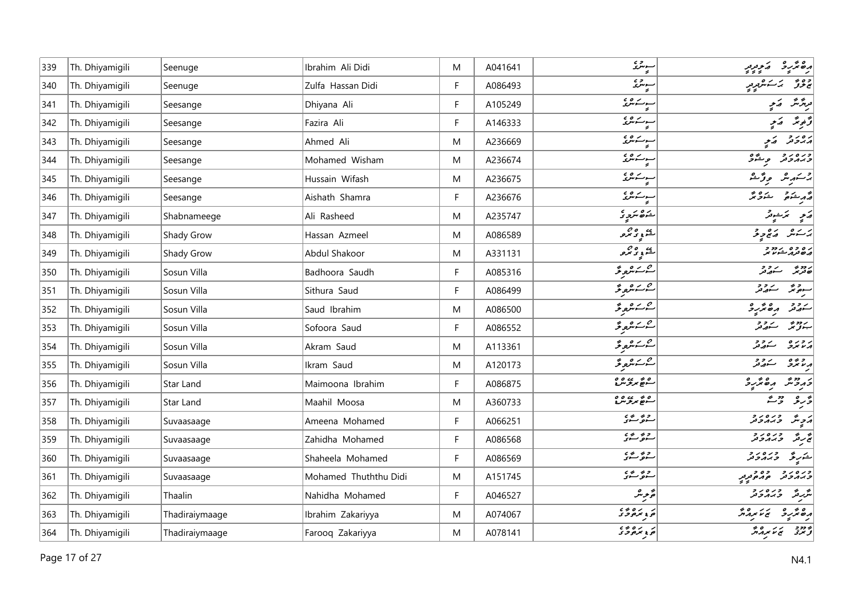| 339 | Th. Dhiyamigili | Seenuge          | Ibrahim Ali Didi      | M         | A041641 | سەپىر<br>ئە                                  | رەنژرۇ كەرىرىر                                                       |
|-----|-----------------|------------------|-----------------------|-----------|---------|----------------------------------------------|----------------------------------------------------------------------|
| 340 | Th. Dhiyamigili | Seenuge          | Zulfa Hassan Didi     | F         | A086493 | سويتر                                        | ووو كەسكە تەرىپە يەرە<br>ئ                                           |
| 341 | Th. Dhiyamigili | Seesange         | Dhiyana Ali           | F         | A105249 | بسوسته ينتج                                  | ورژش کرم                                                             |
| 342 | Th. Dhiyamigili | Seesange         | Fazira Ali            | F         | A146333 | اب مەئىدى<br>ئ                               | قرموتر<br>ەنىر                                                       |
| 343 | Th. Dhiyamigili | Seesange         | Ahmed Ali             | ${\sf M}$ | A236669 | بسوسته يتمد                                  | رەرد كەير                                                            |
| 344 | Th. Dhiyamigili | Seesange         | Mohamed Wisham        | ${\sf M}$ | A236674 | بەرىكەشى                                     | ورەرو بەشۇ                                                           |
| 345 | Th. Dhiyamiqili | Seesange         | Hussain Wifash        | ${\sf M}$ | A236675 | سەسەھرى                                      | يزخير شورو ويحث                                                      |
| 346 | Th. Dhiyamiqili | Seesange         | Aishath Shamra        | F         | A236676 | سەسەھرى                                      | د در ده در در در در در در کند کند .<br>در کار در سندار کند کند کند . |
| 347 | Th. Dhiyamigili | Shabnameege      | Ali Rasheed           | M         | A235747 | ے ک <i>ے سر<sub>حی</sub> ک</i>               | أركمني أترك وكر                                                      |
| 348 | Th. Dhiyamigili | Shady Grow       | Hassan Azmeel         | ${\sf M}$ | A086589 | يد وه چې په د                                | يركش كالمجافي في                                                     |
| 349 | Th. Dhiyamigili | Shady Grow       | Abdul Shakoor         | M         | A331131 | يد ويره<br>ڪويره                             | ره وه ردد د<br>پره تر پر شو <i>لا</i> بر                             |
| 350 | Th. Dhiyamigili | Sosun Villa      | Badhoora Saudh        | F         | A085316 | التزينة عرورة                                | ر دو پر<br>ن تور پر<br>ستهر تر                                       |
| 351 | Th. Dhiyamigili | Sosun Villa      | Sithura Saud          | F         | A086499 | 2 سەمبى <sub>رى</sub> ئە                     | اسوه پر در در                                                        |
| 352 | Th. Dhiyamigili | Sosun Villa      | Saud Ibrahim          | ${\sf M}$ | A086500 | مەسە يى <sub>رى</sub> موقە                   | ەر ھەترىر 3<br>رەھىمەر<br>ر 22 و<br>ستوجه تعر                        |
| 353 | Th. Dhiyamigili | Sosun Villa      | Sofoora Saud          | F         | A086552 | <u>شە ئەشرو ئۇ</u>                           | ستەھر<br>سەدىرىپىتىر                                                 |
| 354 | Th. Dhiyamiqili | Sosun Villa      | Akram Saud            | ${\sf M}$ | A113361 | استمستقرو                                    | ەردىرە<br>سەھەتىر                                                    |
| 355 | Th. Dhiyamigili | Sosun Villa      | Ikram Saud            | M         | A120173 | <u>شر سەھرىمى</u>                            | د ۱۶۶<br>د ۱۶۶ کرو<br>سەھەتىر                                        |
| 356 | Th. Dhiyamigili | <b>Star Land</b> | Maimoona Ibrahim      | F         | A086875 | ە ئەسەر يەھ دە<br>سەھ بىر <del>ئ</del> وسىدە | ىر دەمگە<br>مەرىبە<br>رە ئۆر ۋ                                       |
| 357 | Th. Dhiyamigili | Star Land        | Maahil Moosa          | ${\sf M}$ | A360733 | ە ئەسىر ئەرە ب                               | ۇر بۇ<br>م<br>دو مح                                                  |
| 358 | Th. Dhiyamigili | Suvaasaage       | Ameena Mohamed        | F         | A066251 | <u>ر ژه په پ</u>                             | و ر ه ر د<br><i>و پر پ</i> ر تر<br>مزجه مثر                          |
| 359 | Th. Dhiyamigili | Suvaasaage       | Zahidha Mohamed       | F         | A086568 | __ <i>___________</i><br>سىق ئەسىرى          | پچ <sub>سر</sub> پیشر<br>و ره ر و<br><i>و بر</i> پر تر               |
| 360 | Th. Dhiyamigili | Suvaasaage       | Shaheela Mohamed      | F         | A086569 | <u>حرڅ شوي</u>                               | ے کر بحر<br>و ره ر د<br><i>د ب</i> رگرفر                             |
| 361 | Th. Dhiyamiqili | Suvaasaage       | Mohamed Thuththu Didi | ${\sf M}$ | A151745 | <u>ر ژه په پ</u>                             | דגם גד דסר<br>קגמכת המהתעת                                           |
| 362 | Th. Dhiyamigili | Thaalin          | Nahidha Mohamed       | F         | A046527 | ۇدىر                                         | و ره ر و<br>تر پر تر تر<br>ىتزىر قىر                                 |
| 363 | Th. Dhiyamiqili | Thadiraiymaage   | Ibrahim Zakariyya     | M         | A074067 | ر بەرەپ<br>مۇبىرە <i>بەرى</i>                |                                                                      |
| 364 | Th. Dhiyamigili | Thadiraiymaage   | Farooq Zakariyya      | ${\sf M}$ | A078141 | ر بەرەپ<br>مۇبە ئىگەرى                       | وجود براسم والمجمد                                                   |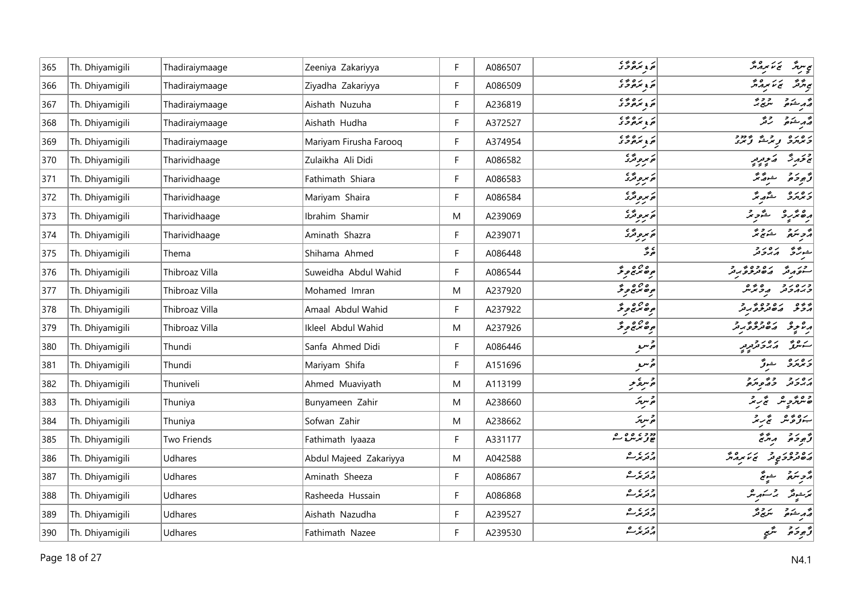| 365 | Th. Dhiyamigili | Thadiraiymaage     | Zeeniya Zakariyya      | F         | A086507 | 599188                             | ى ئەسرە بىر<br>اسم سرچ<br>ڪ                                                                                            |
|-----|-----------------|--------------------|------------------------|-----------|---------|------------------------------------|------------------------------------------------------------------------------------------------------------------------|
| 366 | Th. Dhiyamigili | Thadiraiymaage     | Ziyadha Zakariyya      | F         | A086509 | ر ره و د<br>مو و مره و د           | אית ביצי בין היה ביותר ביותר ביותר ביותר ביותר ביותר ביותר ביותר ביותר ביותר ביותר ביותר ביותר ביותר ביותר ביו<br>המוד |
| 367 | Th. Dhiyamiqili | Thadiraiymaage     | Aishath Nuzuha         | F         | A236819 | ر بەرەپ<br>مۇبە ئىرەرى             | پ <sup>و</sup> مرشوحو<br>پر پر پر<br>سرچ بر                                                                            |
| 368 | Th. Dhiyamigili | Thadiraiymaage     | Aishath Hudha          | F         | A372527 | ر<br>مو بره دی                     | پ <sup>و</sup> مرشومی<br>مرم<br>رژگر                                                                                   |
| 369 | Th. Dhiyamigili | Thadiraiymaage     | Mariyam Firusha Farooq | F         | A374954 | <br>  پرو بره د د                  | י פיתוב <sub>ק</sub> ית בין ליחי                                                                                       |
| 370 | Th. Dhiyamigili | Tharividhaage      | Zulaikha Ali Didi      | F         | A086582 | ر<br>حوموع فرد                     | تحكم شكومومر                                                                                                           |
| 371 | Th. Dhiyamiqili | Tharividhaage      | Fathimath Shiara       | F         | A086583 | <br>  په مرح تر د<br>  ___________ | ے پر گئی<br>و پر د                                                                                                     |
| 372 | Th. Dhiyamiqili | Tharividhaage      | Mariyam Shaira         | F         | A086584 | اړ بره وره<br><u>سره ور</u> ۍ      | ر ه ر ه<br><del>د</del> بربرو<br>شگەر تر                                                                               |
| 373 | Th. Dhiyamigili | Tharividhaage      | Ibrahim Shamir         | ${\sf M}$ | A239069 | <br> حومرہ وتری                    | ە ھەترىر <sup>ە</sup><br>ستگر مر                                                                                       |
| 374 | Th. Dhiyamiqili | Tharividhaage      | Aminath Shazra         | F         | A239071 | ئەسرەپىرى<br>م                     | أأرمز<br>ے تر بڑ                                                                                                       |
| 375 | Th. Dhiyamigili | Thema              | Shihama Ahmed          | F         | A086448 | ج ح<br>حو                          | شەرگە گ<br>پرەر د                                                                                                      |
| 376 | Th. Dhiyamigili | Thibroaz Villa     | Suweidha Abdul Wahid   | F         | A086544 | ە ھەم ھەم قە                       | در در دره ده در د<br>سوړوند پره تروه د                                                                                 |
| 377 | Th. Dhiyamigili | Thibroaz Villa     | Mohamed Imran          | M         | A237920 | ە 200 مۇ                           | ورەرو ھەمھىر                                                                                                           |
| 378 | Th. Dhiyamigili | Thibroaz Villa     | Amaal Abdul Wahid      | F         | A237922 | وەيدى وېڅ                          | د ده ده ده د د<br>پروتو په <i>ه د تروگ</i> رنر                                                                         |
| 379 | Th. Dhiyamigili | Thibroaz Villa     | Ikleel Abdul Wahid     | ${\sf M}$ | A237926 | ا وه دی د ځه                       | ر ٥ ٥ ٥ ٥ ٠<br>پره تر <del>ت</del> ر تر<br>وينموعه                                                                     |
| 380 | Th. Dhiyamigili | Thundi             | Sanfa Ahmed Didi       | F         | A086446 | اقوسع                              | سەھەتە<br>ر ٥ ر ۶ تورىر<br>د بر تر تورىر                                                                               |
| 381 | Th. Dhiyamiqili | Thundi             | Mariyam Shifa          | F         | A151696 | اقوسع                              | ويوبره<br>شەرگ                                                                                                         |
| 382 | Th. Dhiyamigili | Thuniveli          | Ahmed Muaviyath        | M         | A113199 | چ سرچ مو<br>م                      | و پر مر و<br>حر پر مرمو<br>پر 2 پر 1                                                                                   |
| 383 | Th. Dhiyamigili | Thuniya            | Bunyameen Zahir        | ${\sf M}$ | A238660 | قحم سرهر                           | فالمراد والمحاربة                                                                                                      |
| 384 | Th. Dhiyamiqili | Thuniya            | Sofwan Zahir           | M         | A238662 | قوسير                              | يەدە ئەھ ئىچ بەتر                                                                                                      |
| 385 | Th. Dhiyamiqili | <b>Two Friends</b> | Fathimath Iyaaza       | F         | A331177 | دد د بره ه ه<br>چونر سرد ک         | وٌمودَهُ مِنْهُمْ                                                                                                      |
| 386 | Th. Dhiyamigili | Udhares            | Abdul Majeed Zakariyya | M         | A042588 | جەيرى ھ<br>مەنىرىنىشە              |                                                                                                                        |
| 387 | Th. Dhiyamiqili | Udhares            | Aminath Sheeza         | F         | A086867 | د ر ، م<br>مرمرسه                  | ۇ يەسكە<br>مەس<br>سنسيح                                                                                                |
| 388 | Th. Dhiyamiqili | Udhares            | Rasheeda Hussain       | F         | A086868 | د ر ، م<br>مرمر سه                 | جرىسەر بىر<br>ىمەسىيەتىگە<br>ئى                                                                                        |
| 389 | Th. Dhiyamiqili | Udhares            | Aishath Nazudha        | F         | A239527 | ە ئەر ئەر ھ                        | سرح قر<br>د مر شوځ<br>مر                                                                                               |
| 390 | Th. Dhiyamigili | Udhares            | Fathimath Nazee        | F         | A239530 | ەزىر ئە                            | ۇ بوخ <sup>ى</sup><br>ىتزى                                                                                             |
|     |                 |                    |                        |           |         |                                    |                                                                                                                        |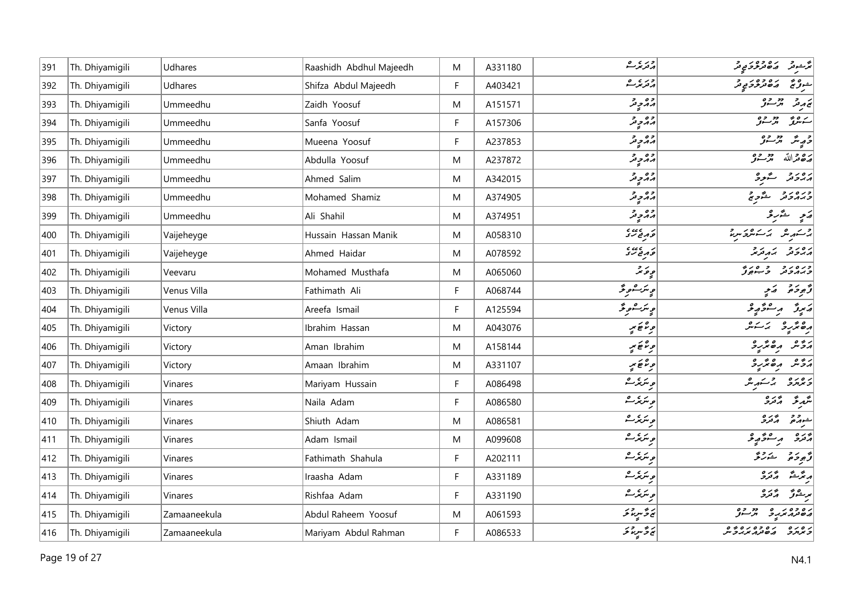| 391 | Th. Dhiyamigili | Udhares      | Raashidh Abdhul Majeedh | ${\sf M}$ | A331180 | ح پر پ <sub>ے</sub><br>مرموسہ     |                                                         |
|-----|-----------------|--------------|-------------------------|-----------|---------|-----------------------------------|---------------------------------------------------------|
| 392 | Th. Dhiyamiqili | Udhares      | Shifza Abdul Majeedh    | F         | A403421 | د ر ، م<br>مرتد <i>بر</i> ب       | ر و د دور د د کلید .<br>  شوری د ه مرد د د بر           |
| 393 | Th. Dhiyamigili | Ummeedhu     | Zaidh Yoosuf            | ${\sf M}$ | A151571 | ده د پر                           | $\begin{array}{cc} 0 & 2 & 2 \\ 2 & -2 & 2 \end{array}$ |
| 394 | Th. Dhiyamigili | Ummeedhu     | Sanfa Yoosuf            | F         | A157306 | وه چوند<br>مرمز چر                | دو په وه<br>درسو<br>سەھەتىر                             |
| 395 | Th. Dhiyamiqili | Ummeedhu     | Mueena Yoosuf           | F         | A237853 | د ۵ د پر                          | د په پر دور<br>د پېښتر مرگ                              |
| 396 | Th. Dhiyamigili | Ummeedhu     | Abdulla Yoosuf          | M         | A237872 | وه چې د<br>مرم چې مر              | دد حره<br>مرسسو<br>ەھىراللە                             |
| 397 | Th. Dhiyamigili | Ummeedhu     | Ahmed Salim             | ${\sf M}$ | A342015 | پر پر چر                          | رەر ئەرۋ                                                |
| 398 | Th. Dhiyamigili | Ummeedhu     | Mohamed Shamiz          | M         | A374905 | د ه د په<br>مرم په پې             | ورەرو شەرىخ                                             |
| 399 | Th. Dhiyamigili | Ummeedhu     | Ali Shahil              | ${\sf M}$ | A374951 | ده د پر                           | ړې شمريځ                                                |
| 400 | Th. Dhiyamiqili | Vaijeheyge   | Hussain Hassan Manik    | M         | A058310 | ر<br>تومرہے ر <sub>ی</sub>        | ב ביות יית ביות ביות י                                  |
| 401 | Th. Dhiyamigili | Vaijeheyge   | Ahmed Haidar            | ${\sf M}$ | A078592 | ر<br>تو در ج ر د                  | أرەرو بەرگە                                             |
| 402 | Th. Dhiyamiqili | Veevaru      | Mohamed Musthafa        | ${\sf M}$ | A065060 | لحوحر تمر                         | ورەرو وەرە                                              |
| 403 | Th. Dhiyamiqili | Venus Villa  | Fathimath Ali           | F         | A068744 | ە ئىر شەھ ئۇ                      | توجوحو مكعي                                             |
| 404 | Th. Dhiyamigili | Venus Villa  | Areefa Ismail           | F         | A125594 | <sub>ع</sub> ې مرک مو ځه          | ەبرۇ مەشرەپر                                            |
| 405 | Th. Dhiyamiqili | Victory      | Ibrahim Hassan          | ${\sf M}$ | A043076 | <sub>عر</sub> ثر ءَ <sub>سم</sub> | أرەنزىر ئەسەر                                           |
| 406 | Th. Dhiyamiqili | Victory      | Aman Ibrahim            | ${\sf M}$ | A158144 | وثقظيميه                          |                                                         |
| 407 | Th. Dhiyamigili | Victory      | Amaan Ibrahim           | ${\sf M}$ | A331107 | وثقظيميه                          |                                                         |
| 408 | Th. Dhiyamiqili | Vinares      | Mariyam Hussain         | F         | A086498 | ويئر پر م                         | جرىسەر بىر<br>ر ه ر ه<br><del>ر</del> بربرگ             |
| 409 | Th. Dhiyamiqili | Vinares      | Naila Adam              | F         | A086580 | اوپرندم                           | ىتىد قە<br>پەر ە<br>مەنىرى                              |
| 410 | Th. Dhiyamigili | Vinares      | Shiuth Adam             | ${\sf M}$ | A086581 | اوبئدعية                          | پەر ە<br>مەنور<br>شود و د<br>م                          |
| 411 | Th. Dhiyamiqili | Vinares      | Adam Ismail             | ${\sf M}$ | A099608 | امویترندهی                        | پور ہ<br>پر تر تر<br>ەرسىۋەپى                           |
| 412 | Th. Dhiyamigili | Vinares      | Fathimath Shahula       | F         | A202111 | ا <sub>حو</sub> متر پڑھ           | ۇ بۇرۇ ھەردۇ                                            |
| 413 | Th. Dhiyamigili | Vinares      | Iraasha Adam            | F         | A331189 | ە ئىر ئۈرگ                        | ەرىتىرىشە<br>پور ہ<br>مرمرو                             |
| 414 | Th. Dhiyamigili | Vinares      | Rishfaa Adam            | F         | A331190 | <sub>ع</sub> سر پر م              | ىرىشى تى<br>پور ہ<br>مرمرو                              |
| 415 | Th. Dhiyamigili | Zamaaneekula | Abdul Raheem Yoosuf     | ${\sf M}$ | A061593 | ئەۋسپەتمۇ                         | נסכם נגם נכפס<br>הסטה הגב ת—ק                           |
| 416 | Th. Dhiyamigili | Zamaaneekula | Mariyam Abdul Rahman    | F         | A086533 | ئە ئەسرىرىمىتى ئە                 |                                                         |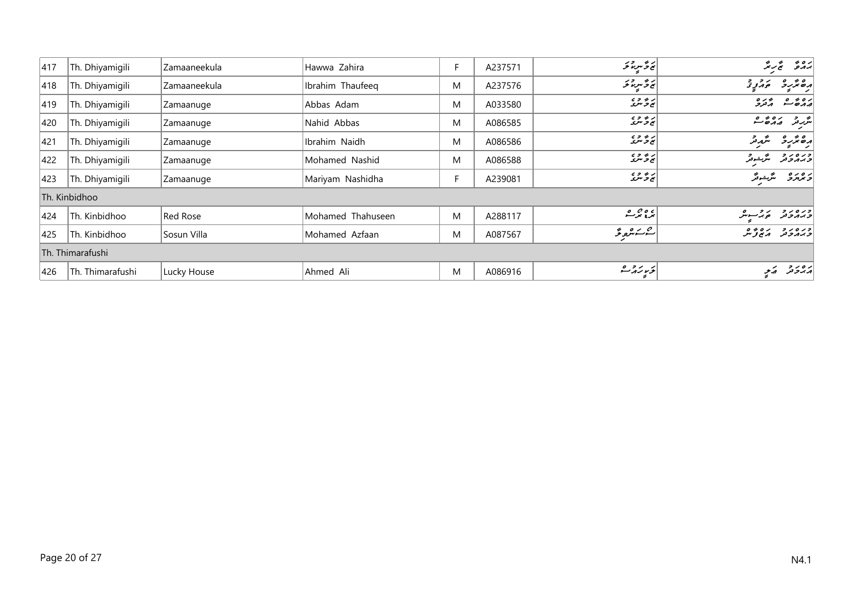| 417 | Th. Dhiyamigili  | Zamaaneekula | Hawwa Zahira      | F | A237571 | ئەۋسىدىنى                   | پره په<br>سمع مرسمر                 |
|-----|------------------|--------------|-------------------|---|---------|-----------------------------|-------------------------------------|
| 418 | Th. Dhiyamiqili  | Zamaaneekula | Ibrahim Thaufeeg  | M | A237576 | ئەۋسىدىم                    | ەھ ئرىرى<br>ە ئەرقى                 |
| 419 | Th. Dhiyamigili  | Zamaanuge    | Abbas Adam        | M | A033580 | ىر ئەرىپى<br>ئى خرىسى ئە    | رەپچە                               |
| 420 | Th. Dhiyamigili  | Zamaanuge    | Nahid Abbas       | M | A086585 | ىر ئەرى<br>ئى خرىسى         | رەپچە<br>متزر تر                    |
| 421 | Th. Dhiyamiqili  | Zamaanuge    | Ibrahim Naidh     | M | A086586 | 0.591<br>انخ خامتنى         | مەمۇرۇ<br>سگەنتر<br>$\mathcal{L}$   |
| 422 | Th. Dhiyamigili  | Zamaanuge    | Mohamed Nashid    | M | A086588 | ئەۋىترى                     | و ره ر و<br>تر پر ژ تر<br>سرٌشوترٌ  |
| 423 | Th. Dhiyamigili  | Zamaanuge    | Mariyam Nashidha  | F | A239081 | 0.501<br>سے مز سور          | ر ه ر ه<br>سَّرْتْ وَمَرَّ          |
|     | Th. Kinbidhoo    |              |                   |   |         |                             |                                     |
| 424 | Th. Kinbidhoo    | Red Rose     | Mohamed Thahuseen | M | A288117 | برہ مرے                     | و ر ه ر د<br>تر پر ژنر<br>ە برىسىس  |
| 425 | Th. Kinbidhoo    | Sosun Villa  | Mohamed Azfaan    | M | A087567 | اشىشە يىل <sub>م</sub> و ئى | و ر ه ر د<br>تر پر ژنر<br>ہ ہے و سر |
|     | Th. Thimarafushi |              |                   |   |         |                             |                                     |
| 426 | Th. Thimarafushi | Lucky House  | Ahmed Ali         | M | A086916 | 0.21<br>وردرسه              | پر ه پر و<br>  پر پر <del>و</del> ر |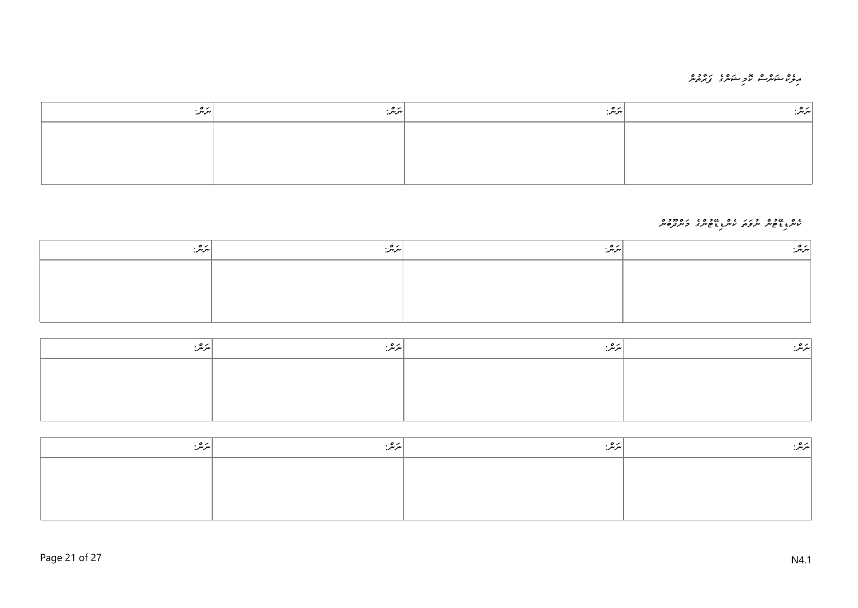## *w7qAn8m? sCw7mRo>u; wEw7mRw;sBo<*

| ' مرمر | 'يئرىثر: |
|--------|----------|
|        |          |
|        |          |
|        |          |

## *w7q9r@w7m> sCw7qHtFoFw7s; mAm=q7 w7qHtFoFw7s;*

| ىر تە | $\mathcal{O} \times$<br>$\sim$ | $\sim$<br>. . | لترنثر |
|-------|--------------------------------|---------------|--------|
|       |                                |               |        |
|       |                                |               |        |
|       |                                |               |        |

| انترنثر: | $^{\circ}$ | يبرهر | $^{\circ}$<br>سرسر |
|----------|------------|-------|--------------------|
|          |            |       |                    |
|          |            |       |                    |
|          |            |       |                    |

| ىرتىر: | 。<br>سر سر | .,<br>مرسر |
|--------|------------|------------|
|        |            |            |
|        |            |            |
|        |            |            |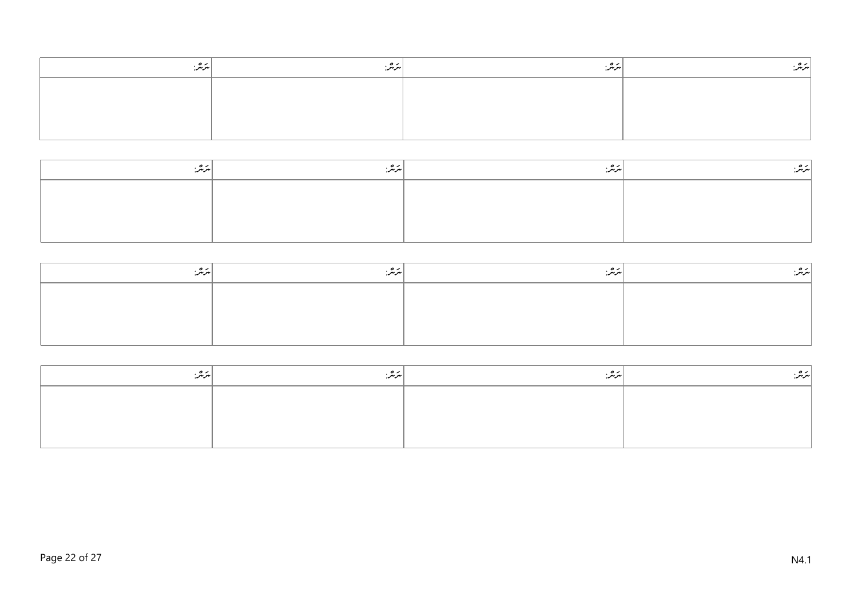| يره. | ο. | ا ير ه |  |
|------|----|--------|--|
|      |    |        |  |
|      |    |        |  |
|      |    |        |  |

| <sup>.</sup> سرسر. |  |
|--------------------|--|
|                    |  |
|                    |  |
|                    |  |

| ىئرىتر. | $\sim$ | ا بر هه. | لىرىش |
|---------|--------|----------|-------|
|         |        |          |       |
|         |        |          |       |
|         |        |          |       |

| يترمثر | $^{\circ}$ | يرمر. |
|--------|------------|-------|
|        |            |       |
|        |            |       |
|        |            |       |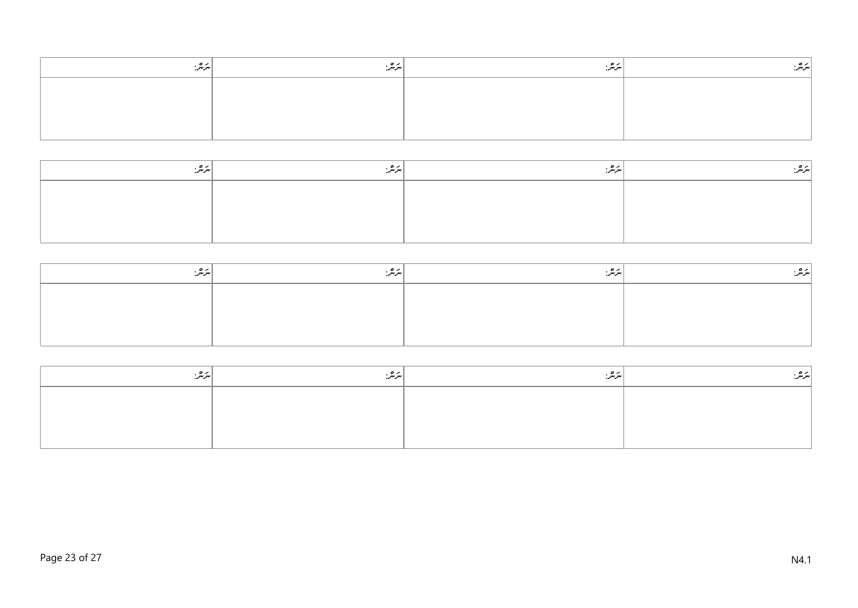| ير هو . | $\overline{\phantom{a}}$ | يرمر | اير هنه. |
|---------|--------------------------|------|----------|
|         |                          |      |          |
|         |                          |      |          |
|         |                          |      |          |

| ئىرتىر: | $\sim$<br>ا سرسر . | يئرمثر | o . |
|---------|--------------------|--------|-----|
|         |                    |        |     |
|         |                    |        |     |
|         |                    |        |     |

| انترنثر: | ر ه |  |
|----------|-----|--|
|          |     |  |
|          |     |  |
|          |     |  |

|  | . ه |
|--|-----|
|  |     |
|  |     |
|  |     |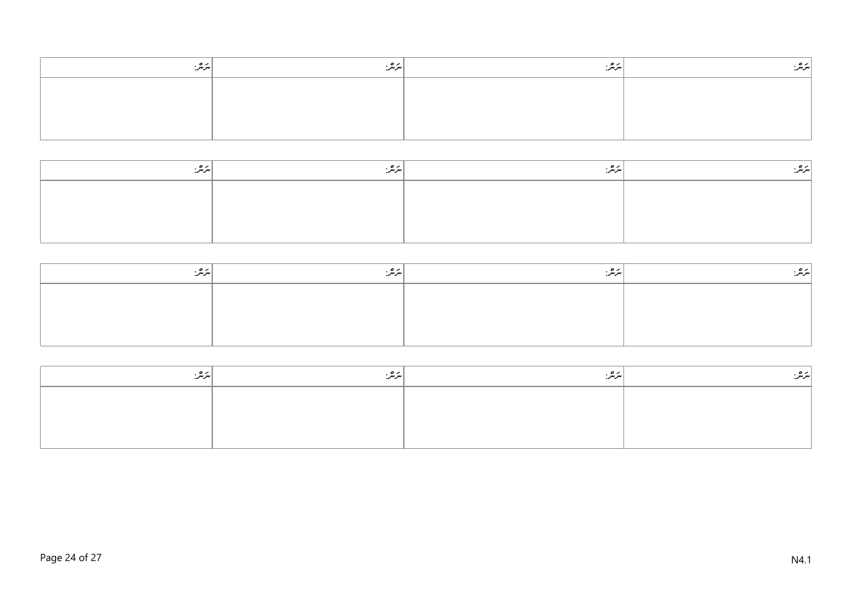| ير هو . | $\overline{\phantom{a}}$ | يرمر | اير هنه. |
|---------|--------------------------|------|----------|
|         |                          |      |          |
|         |                          |      |          |
|         |                          |      |          |

| ئىرتىر: | $\sim$<br>ا سرسر . | يئرمثر | o . |
|---------|--------------------|--------|-----|
|         |                    |        |     |
|         |                    |        |     |
|         |                    |        |     |

| الترنثر: | ' مرتكز: | الترنثر: | .,<br>سرسر. |
|----------|----------|----------|-------------|
|          |          |          |             |
|          |          |          |             |
|          |          |          |             |

|  | . ه |
|--|-----|
|  |     |
|  |     |
|  |     |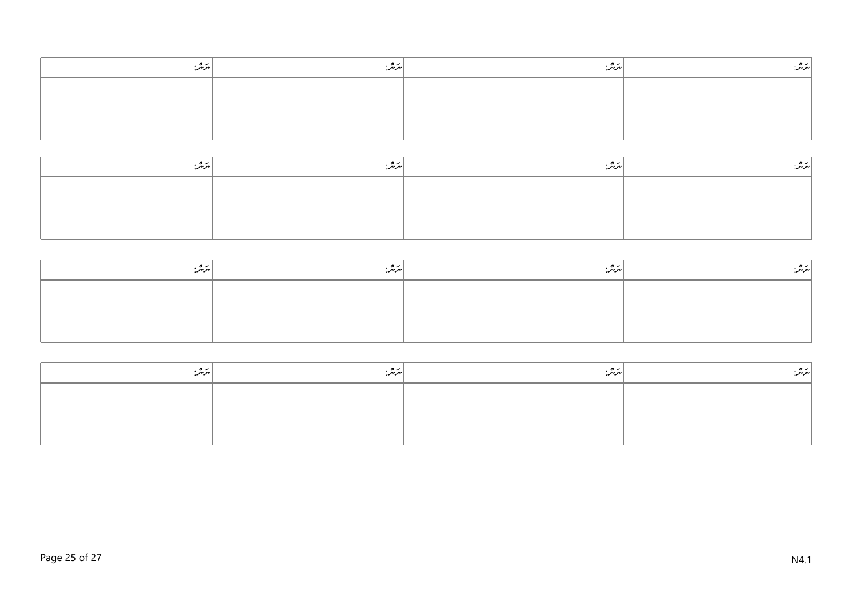| $\cdot$ | ο. | $\frac{\circ}{\cdot}$ | $\sim$<br>سرسر |
|---------|----|-----------------------|----------------|
|         |    |                       |                |
|         |    |                       |                |
|         |    |                       |                |

| ايرعر: | ر ه<br>. . |  |
|--------|------------|--|
|        |            |  |
|        |            |  |
|        |            |  |

| بر ه | 。 | $\sim$<br>َ سومس. |  |
|------|---|-------------------|--|
|      |   |                   |  |
|      |   |                   |  |
|      |   |                   |  |

| 。<br>. س | ىرىىر |  |
|----------|-------|--|
|          |       |  |
|          |       |  |
|          |       |  |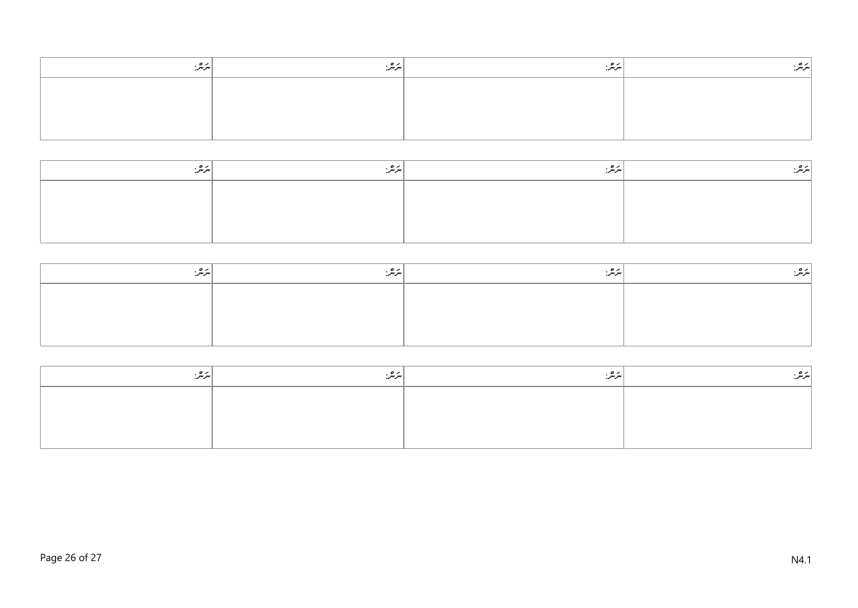| ير هو . | $\overline{\phantom{a}}$ | يرمر | لتزمثن |
|---------|--------------------------|------|--------|
|         |                          |      |        |
|         |                          |      |        |
|         |                          |      |        |

| ىر تىر: | $\circ$ $\sim$<br>" سرسر . | يبرحه | o . |
|---------|----------------------------|-------|-----|
|         |                            |       |     |
|         |                            |       |     |
|         |                            |       |     |

| الترنثر: | ' مرتكز: | الترنثر: | .,<br>سرسر. |
|----------|----------|----------|-------------|
|          |          |          |             |
|          |          |          |             |
|          |          |          |             |

|  | . ه |
|--|-----|
|  |     |
|  |     |
|  |     |